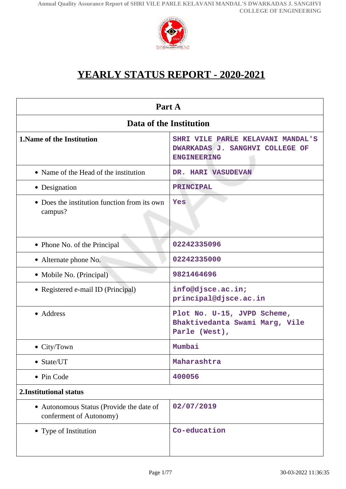

# **YEARLY STATUS REPORT - 2020-2021**

<span id="page-0-0"></span>

| Part A                                                              |                                                                                            |  |
|---------------------------------------------------------------------|--------------------------------------------------------------------------------------------|--|
| Data of the Institution                                             |                                                                                            |  |
| <b>1. Name of the Institution</b>                                   | SHRI VILE PARLE KELAVANI MANDAL'S<br>DWARKADAS J. SANGHVI COLLEGE OF<br><b>ENGINEERING</b> |  |
| • Name of the Head of the institution                               | DR. HARI VASUDEVAN                                                                         |  |
| • Designation                                                       | <b>PRINCIPAL</b>                                                                           |  |
| • Does the institution function from its own<br>campus?             | Yes                                                                                        |  |
| • Phone No. of the Principal                                        | 02242335096                                                                                |  |
| • Alternate phone No.                                               | 02242335000                                                                                |  |
| • Mobile No. (Principal)                                            | 9821464696                                                                                 |  |
| • Registered e-mail ID (Principal)                                  | info@djsce.ac.in;<br>principal@djsce.ac.in                                                 |  |
| • Address                                                           | Plot No. U-15, JVPD Scheme,<br>Bhaktivedanta Swami Marg, Vile<br>Parle (West),             |  |
| $\bullet$ City/Town                                                 | Mumbai                                                                                     |  |
| • State/UT                                                          | Maharashtra                                                                                |  |
| • Pin Code                                                          | 400056                                                                                     |  |
| 2. Institutional status                                             |                                                                                            |  |
| • Autonomous Status (Provide the date of<br>conferment of Autonomy) | 02/07/2019                                                                                 |  |
| • Type of Institution                                               | Co-education                                                                               |  |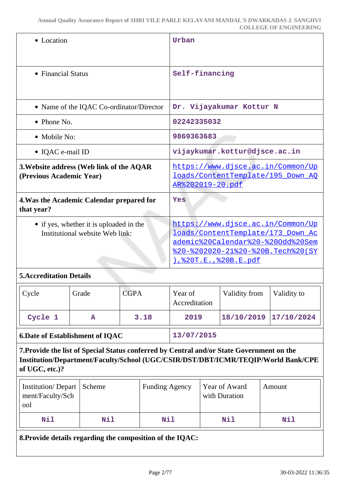| • Location                                                                 | Urban                                                                                                                                                                            |
|----------------------------------------------------------------------------|----------------------------------------------------------------------------------------------------------------------------------------------------------------------------------|
| • Financial Status                                                         | Self-financing                                                                                                                                                                   |
| • Name of the IQAC Co-ordinator/Director                                   | Dr. Vijayakumar Kottur N                                                                                                                                                         |
| $\bullet$ Phone No.                                                        | 02242335032                                                                                                                                                                      |
| • Mobile No:                                                               | 9869363683                                                                                                                                                                       |
| • IQAC e-mail ID                                                           | vijaykumar.kottur@djsce.ac.in                                                                                                                                                    |
| 3. Website address (Web link of the AQAR<br>(Previous Academic Year)       | https://www.djsce.ac.in/Common/Up<br>loads/ContentTemplate/195 Down AQ<br>AR%202019-20.pdf                                                                                       |
| 4. Was the Academic Calendar prepared for<br>that year?                    | Yes                                                                                                                                                                              |
| • if yes, whether it is uploaded in the<br>Institutional website Web link: | https://www.djsce.ac.in/Common/Up<br>loads/ContentTemplate/173_Down_Ac<br>ademic%20Calendar%20-%20Odd%20Sem<br>%20-%202020-21%20-%20B. Tech%20(SY<br><u>),%20T.E.,%20B.E.pdf</u> |

### **5.Accreditation Details**

| Cycle                                  | Grade | <b>CGPA</b> | Year of<br>Accreditation | Validity from         | Validity to |
|----------------------------------------|-------|-------------|--------------------------|-----------------------|-------------|
| Cycle 1                                | А     | 3.18        | 2019                     | 18/10/2019 17/10/2024 |             |
| <b>6.Date of Establishment of IQAC</b> |       |             | 13/07/2015               |                       |             |

**7.Provide the list of Special Status conferred by Central and/or State Government on the Institution/Department/Faculty/School (UGC/CSIR/DST/DBT/ICMR/TEQIP/World Bank/CPE of UGC, etc.)?**

| Institution/Depart   Scheme<br>ment/Faculty/Sch<br>ool |     | <b>Funding Agency</b> | Year of Award<br>with Duration | Amount |
|--------------------------------------------------------|-----|-----------------------|--------------------------------|--------|
| Nil                                                    | Nil | <b>Nil</b>            | Nil                            | Nil    |

**8.Provide details regarding the composition of the IQAC:**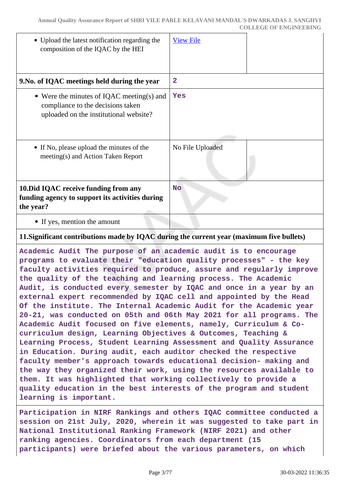| • Upload the latest notification regarding the<br>composition of the IQAC by the HEI                                     | <b>View File</b> |
|--------------------------------------------------------------------------------------------------------------------------|------------------|
| 9. No. of IQAC meetings held during the year                                                                             | $\overline{2}$   |
| • Were the minutes of IQAC meeting(s) and<br>compliance to the decisions taken<br>uploaded on the institutional website? | Yes              |
| • If No, please upload the minutes of the<br>meeting(s) and Action Taken Report                                          | No File Uploaded |
| 10. Did IQAC receive funding from any<br>funding agency to support its activities during<br>the year?                    | <b>No</b>        |
| • If yes, mention the amount                                                                                             |                  |

### **11.Significant contributions made by IQAC during the current year (maximum five bullets)**

**Academic Audit The purpose of an academic audit is to encourage programs to evaluate their "education quality processes" - the key faculty activities required to produce, assure and regularly improve the quality of the teaching and learning process. The Academic Audit, is conducted every semester by IQAC and once in a year by an external expert recommended by IQAC cell and appointed by the Head Of the institute. The Internal Academic Audit for the Academic year 20-21, was conducted on 05th and 06th May 2021 for all programs. The Academic Audit focused on five elements, namely, Curriculum & Cocurriculum design, Learning Objectives & Outcomes, Teaching & Learning Process, Student Learning Assessment and Quality Assurance in Education. During audit, each auditor checked the respective faculty member's approach towards educational decision- making and the way they organized their work, using the resources available to them. It was highlighted that working collectively to provide a quality education in the best interests of the program and student learning is important.**

**Participation in NIRF Rankings and others IQAC committee conducted a session on 21st July, 2020, wherein it was suggested to take part in National Institutional Ranking Framework (NIRF 2021) and other ranking agencies. Coordinators from each department (15 participants) were briefed about the various parameters, on which**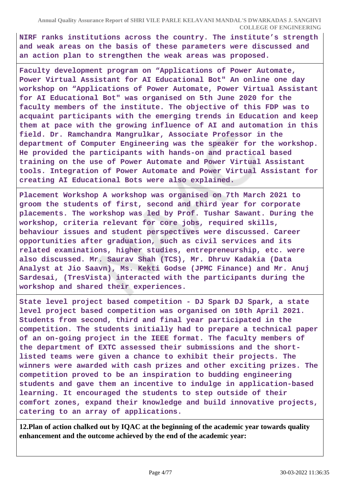**NIRF ranks institutions across the country. The institute's strength and weak areas on the basis of these parameters were discussed and an action plan to strengthen the weak areas was proposed.**

**Faculty development program on "Applications of Power Automate, Power Virtual Assistant for AI Educational Bot" An online one day workshop on "Applications of Power Automate, Power Virtual Assistant for AI Educational Bot" was organised on 5th June 2020 for the faculty members of the institute. The objective of this FDP was to acquaint participants with the emerging trends in Education and keep them at pace with the growing influence of AI and automation in this field. Dr. Ramchandra Mangrulkar, Associate Professor in the department of Computer Engineering was the speaker for the workshop. He provided the participants with hands-on and practical based training on the use of Power Automate and Power Virtual Assistant tools. Integration of Power Automate and Power Virtual Assistant for creating AI Educational Bots were also explained.**

**Placement Workshop A workshop was organised on 7th March 2021 to groom the students of first, second and third year for corporate placements. The workshop was led by Prof. Tushar Sawant. During the workshop, criteria relevant for core jobs, required skills, behaviour issues and student perspectives were discussed. Career opportunities after graduation, such as civil services and its related examinations, higher studies, entrepreneurship, etc. were also discussed. Mr. Saurav Shah (TCS), Mr. Dhruv Kadakia (Data Analyst at Jio Saavn), Ms. Kekti Godse (JPMC Finance) and Mr. Anuj Sardesai, (TresVista) interacted with the participants during the workshop and shared their experiences.**

**State level project based competition - DJ Spark DJ Spark, a state level project based competition was organised on 10th April 2021. Students from second, third and final year participated in the competition. The students initially had to prepare a technical paper of an on-going project in the IEEE format. The faculty members of the department of EXTC assessed their submissions and the shortlisted teams were given a chance to exhibit their projects. The winners were awarded with cash prizes and other exciting prizes. The competition proved to be an inspiration to budding engineering students and gave them an incentive to indulge in application-based learning. It encouraged the students to step outside of their comfort zones, expand their knowledge and build innovative projects, catering to an array of applications.**

**12.Plan of action chalked out by IQAC at the beginning of the academic year towards quality enhancement and the outcome achieved by the end of the academic year:**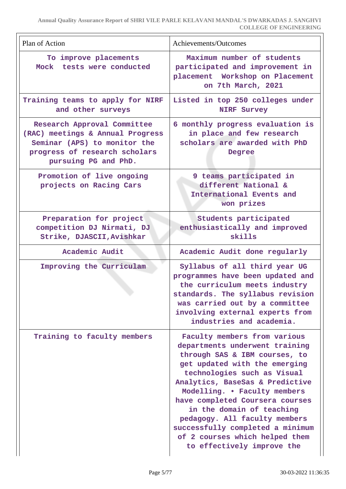| Plan of Action                                                                                                                                           | Achievements/Outcomes                                                                                                                                                                                                                                                                                                                                                                                                                   |
|----------------------------------------------------------------------------------------------------------------------------------------------------------|-----------------------------------------------------------------------------------------------------------------------------------------------------------------------------------------------------------------------------------------------------------------------------------------------------------------------------------------------------------------------------------------------------------------------------------------|
| To improve placements<br>Mock tests were conducted                                                                                                       | Maximum number of students<br>participated and improvement in<br>placement Workshop on Placement<br>on 7th March, 2021                                                                                                                                                                                                                                                                                                                  |
| Training teams to apply for NIRF<br>and other surveys                                                                                                    | Listed in top 250 colleges under<br><b>NIRF Survey</b>                                                                                                                                                                                                                                                                                                                                                                                  |
| Research Approval Committee<br>(RAC) meetings & Annual Progress<br>Seminar (APS) to monitor the<br>progress of research scholars<br>pursuing PG and PhD. | 6 monthly progress evaluation is<br>in place and few research<br>scholars are awarded with PhD<br>Degree                                                                                                                                                                                                                                                                                                                                |
| Promotion of live ongoing<br>projects on Racing Cars                                                                                                     | 9 teams participated in<br>different National &<br>International Events and<br>won prizes                                                                                                                                                                                                                                                                                                                                               |
| Preparation for project<br>competition DJ Nirmati, DJ<br>Strike, DJASCII, Avishkar                                                                       | Students participated<br>enthusiastically and improved<br>skills                                                                                                                                                                                                                                                                                                                                                                        |
| Academic Audit                                                                                                                                           | Academic Audit done regularly                                                                                                                                                                                                                                                                                                                                                                                                           |
| Improving the Curriculam                                                                                                                                 | Syllabus of all third year UG<br>programmes have been updated and<br>the curriculum meets industry<br>standards. The syllabus revision<br>was carried out by a committee<br>involving external experts from<br>industries and academia.                                                                                                                                                                                                 |
| Training to faculty members                                                                                                                              | Faculty members from various<br>departments underwent training<br>through SAS & IBM courses, to<br>get updated with the emerging<br>technologies such as Visual<br>Analytics, BaseSas & Predictive<br>Modelling. • Faculty members<br>have completed Coursera courses<br>in the domain of teaching<br>pedagogy. All faculty members<br>successfully completed a minimum<br>of 2 courses which helped them<br>to effectively improve the |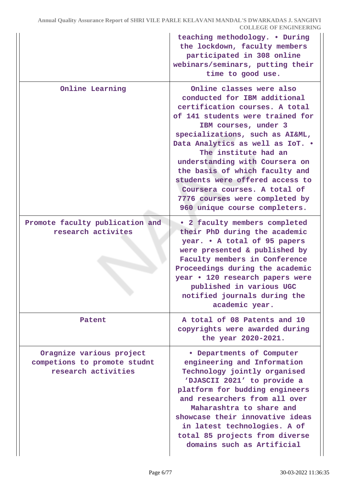|                                                                                 | teaching methodology. . During<br>the lockdown, faculty members<br>participated in 308 online<br>webinars/seminars, putting their<br>time to good use.                                                                                                                                                                                                                                                                                                          |
|---------------------------------------------------------------------------------|-----------------------------------------------------------------------------------------------------------------------------------------------------------------------------------------------------------------------------------------------------------------------------------------------------------------------------------------------------------------------------------------------------------------------------------------------------------------|
| Online Learning                                                                 | Online classes were also<br>conducted for IBM additional<br>certification courses. A total<br>of 141 students were trained for<br>IBM courses, under 3<br>specializations, such as AI&ML,<br>Data Analytics as well as IoT. .<br>The institute had an<br>understanding with Coursera on<br>the basis of which faculty and<br>students were offered access to<br>Coursera courses. A total of<br>7776 courses were completed by<br>960 unique course completers. |
| Promote faculty publication and<br>research activites                           | . 2 faculty members completed<br>their PhD during the academic<br>year. • A total of 95 papers<br>were presented & published by<br>Faculty members in Conference<br>Proceedings during the academic<br>year • 120 research papers were<br>published in various UGC<br>notified journals during the<br>academic year.                                                                                                                                            |
| Patent                                                                          | A total of 08 Patents and 10<br>copyrights were awarded during<br>the year 2020-2021.                                                                                                                                                                                                                                                                                                                                                                           |
| Oragnize various project<br>competions to promote studnt<br>research activities | · Departments of Computer<br>engineering and Information<br>Technology jointly organised<br>'DJASCII 2021' to provide a<br>platform for budding engineers<br>and researchers from all over<br>Maharashtra to share and<br>showcase their innovative ideas<br>in latest technologies. A of<br>total 85 projects from diverse<br>domains such as Artificial                                                                                                       |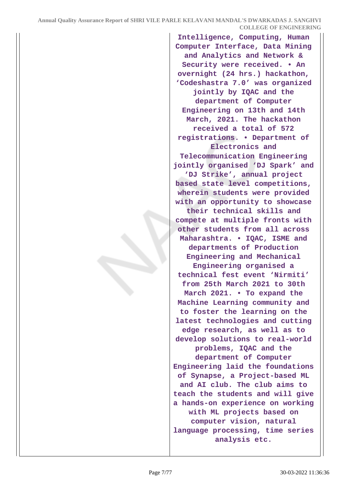**Intelligence, Computing, Human Computer Interface, Data Mining and Analytics and Network & Security were received. • An overnight (24 hrs.) hackathon, 'Codeshastra 7.0' was organized jointly by IQAC and the department of Computer Engineering on 13th and 14th March, 2021. The hackathon received a total of 572 registrations. • Department of Electronics and Telecommunication Engineering jointly organised 'DJ Spark' and 'DJ Strike', annual project based state level competitions, wherein students were provided with an opportunity to showcase their technical skills and compete at multiple fronts with other students from all across Maharashtra. • IQAC, ISME and departments of Production Engineering and Mechanical Engineering organised a technical fest event 'Nirmiti' from 25th March 2021 to 30th March 2021. • To expand the Machine Learning community and to foster the learning on the latest technologies and cutting edge research, as well as to develop solutions to real-world problems, IQAC and the department of Computer Engineering laid the foundations of Synapse, a Project-based ML and AI club. The club aims to teach the students and will give a hands-on experience on working with ML projects based on computer vision, natural language processing, time series analysis etc.**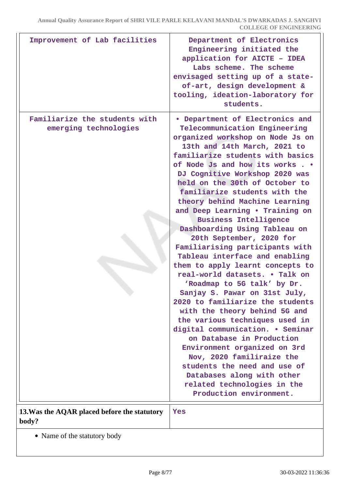| Improvement of Lab facilities                          | Department of Electronics<br>Engineering initiated the<br>application for AICTE - IDEA<br>Labs scheme. The scheme<br>envisaged setting up of a state-<br>of-art, design development &<br>tooling, ideation-laboratory for<br>students.                                                                                                                                                                                                                                                                                                                                                                                                                                                                                                                                                                                                                                                                                                                                                                                                                     |
|--------------------------------------------------------|------------------------------------------------------------------------------------------------------------------------------------------------------------------------------------------------------------------------------------------------------------------------------------------------------------------------------------------------------------------------------------------------------------------------------------------------------------------------------------------------------------------------------------------------------------------------------------------------------------------------------------------------------------------------------------------------------------------------------------------------------------------------------------------------------------------------------------------------------------------------------------------------------------------------------------------------------------------------------------------------------------------------------------------------------------|
| Familiarize the students with<br>emerging technologies | • Department of Electronics and<br>Telecommunication Engineering<br>organized workshop on Node Js on<br>13th and 14th March, 2021 to<br>familiarize students with basics<br>of Node Js and how its works. .<br>DJ Cognitive Workshop 2020 was<br>held on the 30th of October to<br>familiarize students with the<br>theory behind Machine Learning<br>and Deep Learning . Training on<br><b>Business Intelligence</b><br>Dashboarding Using Tableau on<br>20th September, 2020 for<br>Familiarising participants with<br>Tableau interface and enabling<br>them to apply learnt concepts to<br>real-world datasets. . Talk on<br>'Roadmap to 5G talk' by Dr.<br>Sanjay S. Pawar on 31st July,<br>2020 to familiarize the students<br>with the theory behind 5G and<br>the various techniques used in<br>digital communication. . Seminar<br>on Database in Production<br>Environment organized on 3rd<br>Nov, 2020 familiraize the<br>students the need and use of<br>Databases along with other<br>related technologies in the<br>Production environment. |
| 13. Was the AQAR placed before the statutory<br>body?  | Yes                                                                                                                                                                                                                                                                                                                                                                                                                                                                                                                                                                                                                                                                                                                                                                                                                                                                                                                                                                                                                                                        |

Name of the statutory body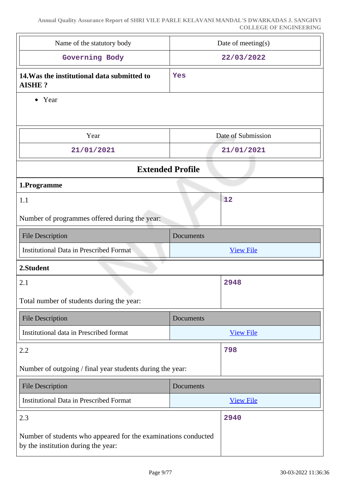| Name of the statutory body                                   | Date of meeting(s) |
|--------------------------------------------------------------|--------------------|
| Governing Body                                               | 22/03/2022         |
| 14. Was the institutional data submitted to<br><b>AISHE?</b> | Yes                |
| Year<br>$\bullet$                                            |                    |
|                                                              |                    |
| Year                                                         | Date of Submission |
| 21/01/2021                                                   | 21/01/2021         |
| <b>Extended Profile</b>                                      |                    |
| 1.Programme                                                  |                    |
| 1.1                                                          | 12                 |
| Number of programmes offered during the year:                |                    |
| <b>File Description</b>                                      | Documents          |
|                                                              |                    |
| <b>Institutional Data in Prescribed Format</b>               | <b>View File</b>   |
| 2.Student                                                    |                    |
| 2.1                                                          | 2948               |
| Total number of students during the year:                    |                    |
| <b>File Description</b>                                      | Documents          |
| Institutional data in Prescribed format                      | <b>View File</b>   |
| 2.2                                                          | 798                |
| Number of outgoing / final year students during the year:    |                    |
| <b>File Description</b>                                      | Documents          |
| <b>Institutional Data in Prescribed Format</b>               | <b>View File</b>   |
| 2.3                                                          | 2940               |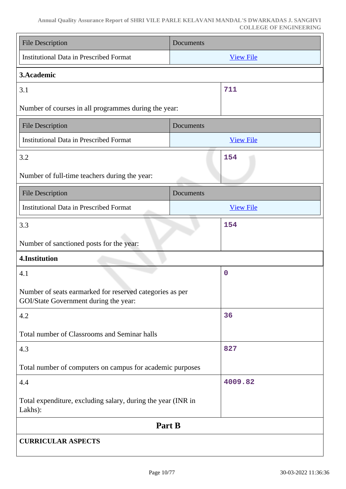#### **Annual Quality Assurance Report of SHRI VILE PARLE KELAVANI MANDAL'S DWARKADAS J. SANGHVI COLLEGE OF ENGINEERING**

| <b>File Description</b>                                                                           | Documents        |  |
|---------------------------------------------------------------------------------------------------|------------------|--|
| <b>Institutional Data in Prescribed Format</b>                                                    | <b>View File</b> |  |
| 3. Academic                                                                                       |                  |  |
| 3.1                                                                                               | 711              |  |
| Number of courses in all programmes during the year:                                              |                  |  |
| <b>File Description</b>                                                                           | Documents        |  |
| <b>Institutional Data in Prescribed Format</b>                                                    | <b>View File</b> |  |
| 3.2                                                                                               | 154              |  |
| Number of full-time teachers during the year:                                                     |                  |  |
| <b>File Description</b>                                                                           | Documents        |  |
| <b>Institutional Data in Prescribed Format</b>                                                    | <b>View File</b> |  |
| 3.3                                                                                               | 154              |  |
| Number of sanctioned posts for the year:                                                          |                  |  |
| 4.Institution                                                                                     |                  |  |
| 4.1                                                                                               | $\mathbf 0$      |  |
| Number of seats earmarked for reserved categories as per<br>GOI/State Government during the year: |                  |  |
| 4.2                                                                                               | 36               |  |
| Total number of Classrooms and Seminar halls                                                      |                  |  |
| 4.3                                                                                               | 827              |  |
| Total number of computers on campus for academic purposes                                         |                  |  |
| 4.4                                                                                               | 4009.82          |  |
| Total expenditure, excluding salary, during the year (INR in<br>Lakhs):                           |                  |  |
| Part B                                                                                            |                  |  |
| <b>CURRICULAR ASPECTS</b>                                                                         |                  |  |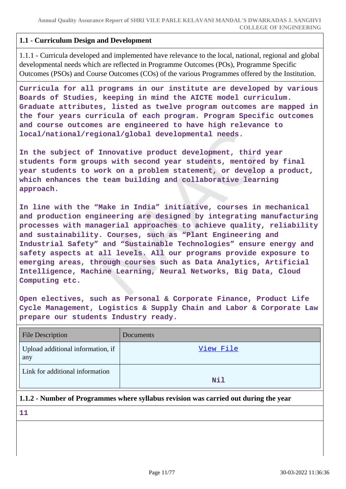### **1.1 - Curriculum Design and Development**

1.1.1 - Curricula developed and implemented have relevance to the local, national, regional and global developmental needs which are reflected in Programme Outcomes (POs), Programme Specific Outcomes (PSOs) and Course Outcomes (COs) of the various Programmes offered by the Institution.

**Curricula for all programs in our institute are developed by various Boards of Studies, keeping in mind the AICTE model curriculum. Graduate attributes, listed as twelve program outcomes are mapped in the four years curricula of each program. Program Specific outcomes and course outcomes are engineered to have high relevance to local/national/regional/global developmental needs.**

**In the subject of Innovative product development, third year students form groups with second year students, mentored by final year students to work on a problem statement, or develop a product, which enhances the team building and collaborative learning approach.**

**In line with the "Make in India" initiative, courses in mechanical and production engineering are designed by integrating manufacturing processes with managerial approaches to achieve quality, reliability and sustainability. Courses, such as "Plant Engineering and Industrial Safety" and "Sustainable Technologies" ensure energy and safety aspects at all levels. All our programs provide exposure to emerging areas, through courses such as Data Analytics, Artificial Intelligence, Machine Learning, Neural Networks, Big Data, Cloud Computing etc.**

**Open electives, such as Personal & Corporate Finance, Product Life Cycle Management, Logistics & Supply Chain and Labor & Corporate Law prepare our students Industry ready.**

| <b>File Description</b>                  | <b>Documents</b> |
|------------------------------------------|------------------|
| Upload additional information, if<br>any | View File        |
| Link for additional information          | Nil              |

### **1.1.2 - Number of Programmes where syllabus revision was carried out during the year**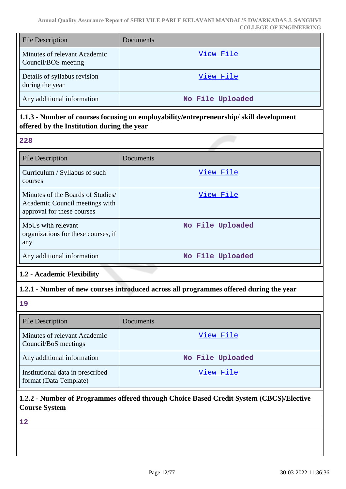| <b>File Description</b>                             | <b>Documents</b> |
|-----------------------------------------------------|------------------|
| Minutes of relevant Academic<br>Council/BOS meeting | View File        |
| Details of syllabus revision<br>during the year     | View File        |
| Any additional information                          | No File Uploaded |

### **1.1.3 - Number of courses focusing on employability/entrepreneurship/ skill development offered by the Institution during the year**

|--|

| <b>File Description</b>                                                                          | Documents        |
|--------------------------------------------------------------------------------------------------|------------------|
| Curriculum / Syllabus of such<br>courses                                                         | View File        |
| Minutes of the Boards of Studies<br>Academic Council meetings with<br>approval for these courses | View File        |
| MoUs with relevant<br>organizations for these courses, if<br>any                                 | No File Uploaded |
| Any additional information                                                                       | No File Uploaded |

# **1.2 - Academic Flexibility**

### **1.2.1 - Number of new courses introduced across all programmes offered during the year**

**19**

| <b>File Description</b>                                    | Documents        |
|------------------------------------------------------------|------------------|
| Minutes of relevant Academic<br>Council/BoS meetings       | View File        |
| Any additional information                                 | No File Uploaded |
| Institutional data in prescribed<br>format (Data Template) | View File        |

# **1.2.2 - Number of Programmes offered through Choice Based Credit System (CBCS)/Elective Course System**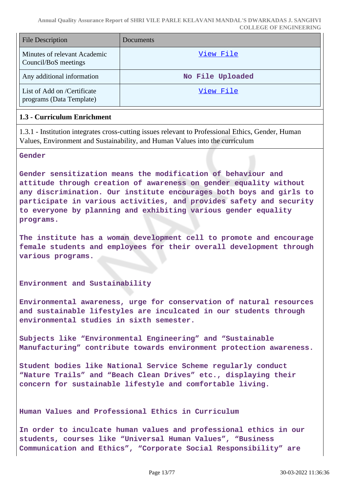| <b>File Description</b>                                 | Documents        |  |  |
|---------------------------------------------------------|------------------|--|--|
| Minutes of relevant Academic<br>Council/BoS meetings    | View File        |  |  |
| Any additional information                              | No File Uploaded |  |  |
| List of Add on /Certificate<br>programs (Data Template) | View File        |  |  |

#### **1.3 - Curriculum Enrichment**

1.3.1 - Institution integrates cross-cutting issues relevant to Professional Ethics, Gender, Human Values, Environment and Sustainability, and Human Values into the curriculum

#### **Gender**

**Gender sensitization means the modification of behaviour and attitude through creation of awareness on gender equality without any discrimination. Our institute encourages both boys and girls to participate in various activities, and provides safety and security to everyone by planning and exhibiting various gender equality programs.**

**The institute has a woman development cell to promote and encourage female students and employees for their overall development through various programs.**

#### **Environment and Sustainability**

**Environmental awareness, urge for conservation of natural resources and sustainable lifestyles are inculcated in our students through environmental studies in sixth semester.**

**Subjects like "Environmental Engineering" and "Sustainable Manufacturing" contribute towards environment protection awareness.**

**Student bodies like National Service Scheme regularly conduct "Nature Trails" and "Beach Clean Drives" etc., displaying their concern for sustainable lifestyle and comfortable living.**

#### **Human Values and Professional Ethics in Curriculum**

**In order to inculcate human values and professional ethics in our students, courses like "Universal Human Values", "Business Communication and Ethics", "Corporate Social Responsibility" are**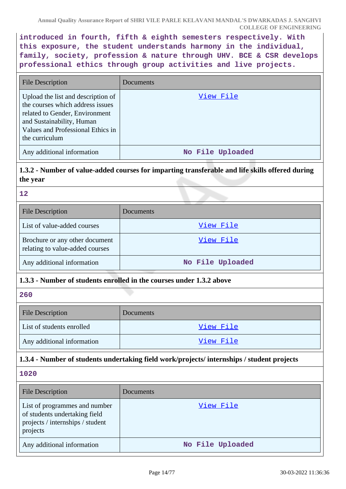**introduced in fourth, fifth & eighth semesters respectively. With this exposure, the student understands harmony in the individual, family, society, profession & nature through UHV. BCE & CSR develops professional ethics through group activities and live projects.**

| <b>File Description</b>                                                                                                                                                                      | Documents        |
|----------------------------------------------------------------------------------------------------------------------------------------------------------------------------------------------|------------------|
| Upload the list and description of<br>the courses which address issues<br>related to Gender, Environment<br>and Sustainability, Human<br>Values and Professional Ethics in<br>the curriculum | View File        |
| Any additional information                                                                                                                                                                   | No File Uploaded |

# **1.3.2 - Number of value-added courses for imparting transferable and life skills offered during the year**

### **12**

| <b>File Description</b>                                           | Documents        |  |  |
|-------------------------------------------------------------------|------------------|--|--|
| List of value-added courses                                       | View File        |  |  |
| Brochure or any other document<br>relating to value-added courses | View File        |  |  |
| Any additional information                                        | No File Uploaded |  |  |

### **1.3.3 - Number of students enrolled in the courses under 1.3.2 above**

### **260**

| <b>File Description</b>    | <b>Documents</b> |  |
|----------------------------|------------------|--|
| List of students enrolled  | View File        |  |
| Any additional information | View File        |  |

# **1.3.4 - Number of students undertaking field work/projects/ internships / student projects**

| File Description                                                                                               | <b>Documents</b> |  |
|----------------------------------------------------------------------------------------------------------------|------------------|--|
| List of programmes and number<br>of students undertaking field<br>projects / internships / student<br>projects | View File        |  |
| Any additional information                                                                                     | No File Uploaded |  |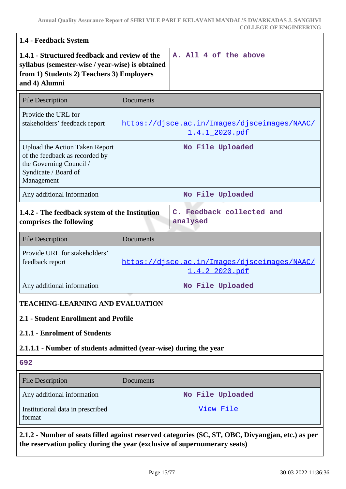| 1.4 - Feedback System                                                                                                                                           |                                                                                                                                                                                |  |  |
|-----------------------------------------------------------------------------------------------------------------------------------------------------------------|--------------------------------------------------------------------------------------------------------------------------------------------------------------------------------|--|--|
| 1.4.1 - Structured feedback and review of the<br>syllabus (semester-wise / year-wise) is obtained<br>from 1) Students 2) Teachers 3) Employers<br>and 4) Alumni | A. All 4 of the above                                                                                                                                                          |  |  |
| <b>File Description</b>                                                                                                                                         | Documents                                                                                                                                                                      |  |  |
| Provide the URL for<br>stakeholders' feedback report                                                                                                            | https://djsce.ac.in/Images/djsceimages/NAAC/<br><u>1.4.1_2020.pdf</u>                                                                                                          |  |  |
| <b>Upload the Action Taken Report</b><br>of the feedback as recorded by<br>the Governing Council /<br>Syndicate / Board of<br>Management                        | No File Uploaded                                                                                                                                                               |  |  |
| Any additional information                                                                                                                                      | No File Uploaded                                                                                                                                                               |  |  |
| comprises the following                                                                                                                                         | C. Feedback collected and<br>1.4.2 - The feedback system of the Institution<br>analysed                                                                                        |  |  |
| <b>File Description</b>                                                                                                                                         | Documents                                                                                                                                                                      |  |  |
| Provide URL for stakeholders'<br>feedback report                                                                                                                | https://djsce.ac.in/Images/djsceimages/NAAC/<br><u>1.4.2 2020.pdf</u>                                                                                                          |  |  |
| Any additional information                                                                                                                                      | No File Uploaded                                                                                                                                                               |  |  |
| <b>TEACHING-LEARNING AND EVALUATION</b>                                                                                                                         |                                                                                                                                                                                |  |  |
| 2.1 - Student Enrollment and Profile                                                                                                                            |                                                                                                                                                                                |  |  |
| 2.1.1 - Enrolment of Students                                                                                                                                   |                                                                                                                                                                                |  |  |
| 2.1.1.1 - Number of students admitted (year-wise) during the year                                                                                               |                                                                                                                                                                                |  |  |
| 692                                                                                                                                                             |                                                                                                                                                                                |  |  |
| <b>File Description</b>                                                                                                                                         | Documents                                                                                                                                                                      |  |  |
| Any additional information                                                                                                                                      | No File Uploaded                                                                                                                                                               |  |  |
| Institutional data in prescribed<br>format                                                                                                                      | View File                                                                                                                                                                      |  |  |
|                                                                                                                                                                 | 2.1.2 - Number of seats filled against reserved categories (SC, ST, OBC, Divyangjan, etc.) as per<br>the reservation policy during the year (exclusive of supernumerary seats) |  |  |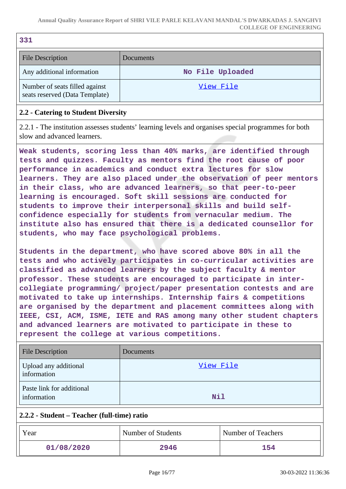| 331                                                              |                  |  |
|------------------------------------------------------------------|------------------|--|
| <b>File Description</b>                                          | <b>Documents</b> |  |
| Any additional information                                       | No File Uploaded |  |
| Number of seats filled against<br>seats reserved (Data Template) | View File        |  |

### **2.2 - Catering to Student Diversity**

2.2.1 - The institution assesses students' learning levels and organises special programmes for both slow and advanced learners.

**Weak students, scoring less than 40% marks, are identified through tests and quizzes. Faculty as mentors find the root cause of poor performance in academics and conduct extra lectures for slow learners. They are also placed under the observation of peer mentors in their class, who are advanced learners, so that peer-to-peer learning is encouraged. Soft skill sessions are conducted for students to improve their interpersonal skills and build selfconfidence especially for students from vernacular medium. The institute also has ensured that there is a dedicated counsellor for students, who may face psychological problems.**

**Students in the department, who have scored above 80% in all the tests and who actively participates in co-curricular activities are classified as advanced learners by the subject faculty & mentor professor. These students are encouraged to participate in intercollegiate programming/ project/paper presentation contests and are motivated to take up internships. Internship fairs & competitions are organised by the department and placement committees along with IEEE, CSI, ACM, ISME, IETE and RAS among many other student chapters and advanced learners are motivated to participate in these to represent the college at various competitions.**

| <b>File Description</b>                  | Documents |
|------------------------------------------|-----------|
| Upload any additional<br>information     | View File |
| Paste link for additional<br>information | Nil       |

### **2.2.2 - Student – Teacher (full-time) ratio**

| Year       | Number of Students | Number of Teachers |
|------------|--------------------|--------------------|
| 01/08/2020 | 2946               | 154                |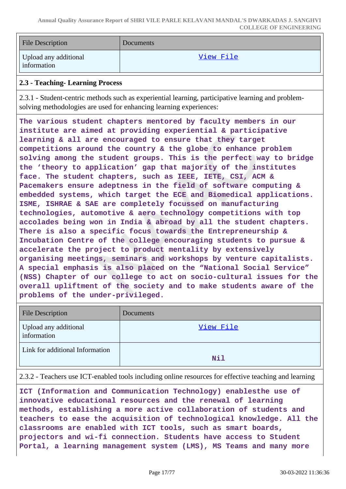| <b>File Description</b>              | <b>Documents</b> |
|--------------------------------------|------------------|
| Upload any additional<br>information | View File        |

#### **2.3 - Teaching- Learning Process**

2.3.1 - Student-centric methods such as experiential learning, participative learning and problemsolving methodologies are used for enhancing learning experiences:

**The various student chapters mentored by faculty members in our institute are aimed at providing experiential & participative learning & all are encouraged to ensure that they target competitions around the country & the globe to enhance problem solving among the student groups. This is the perfect way to bridge the 'theory to application' gap that majority of the institutes face. The student chapters, such as IEEE, IETE, CSI, ACM & Pacemakers ensure adeptness in the field of software computing & embedded systems, which target the ECE and Biomedical applications. ISME, ISHRAE & SAE are completely focussed on manufacturing technologies, automotive & aero technology competitions with top accolades being won in India & abroad by all the student chapters. There is also a specific focus towards the Entrepreneurship & Incubation Centre of the college encouraging students to pursue & accelerate the project to product mentality by extensively organising meetings, seminars and workshops by venture capitalists. A special emphasis is also placed on the "National Social Service" (NSS) Chapter of our college to act on socio-cultural issues for the overall upliftment of the society and to make students aware of the problems of the under-privileged.**

| <b>File Description</b>              | Documents |
|--------------------------------------|-----------|
| Upload any additional<br>information | View File |
| Link for additional Information      | Nil       |

2.3.2 - Teachers use ICT-enabled tools including online resources for effective teaching and learning

**ICT (Information and Communication Technology) enablesthe use of innovative educational resources and the renewal of learning methods, establishing a more active collaboration of students and teachers to ease the acquisition of technological knowledge. All the classrooms are enabled with ICT tools, such as smart boards, projectors and wi-fi connection. Students have access to Student Portal, a learning management system (LMS), MS Teams and many more**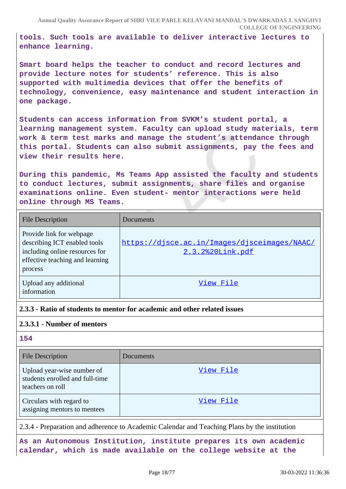**tools. Such tools are available to deliver interactive lectures to enhance learning.**

**Smart board helps the teacher to conduct and record lectures and provide lecture notes for students' reference. This is also supported with multimedia devices that offer the benefits of technology, convenience, easy maintenance and student interaction in one package.**

**Students can access information from SVKM's student portal, a learning management system. Faculty can upload study materials, term work & term test marks and manage the student's attendance through this portal. Students can also submit assignments, pay the fees and view their results here.**

**During this pandemic, Ms Teams App assisted the faculty and students to conduct lectures, submit assignments, share files and organise examinations online. Even student- mentor interactions were held online through MS Teams.**

| <b>File Description</b>                                                                                                                  | Documents                                                        |
|------------------------------------------------------------------------------------------------------------------------------------------|------------------------------------------------------------------|
| Provide link for webpage<br>describing ICT enabled tools<br>including online resources for<br>effective teaching and learning<br>process | https://djsce.ac.in/Images/djsceimages/NAAC/<br>2.3.2%20Link.pdf |
| Upload any additional<br>information                                                                                                     | View File                                                        |

### **2.3.3 - Ratio of students to mentor for academic and other related issues**

### **2.3.3.1 - Number of mentors**

**154**

| <b>File Description</b>                                                           | <b>Documents</b> |
|-----------------------------------------------------------------------------------|------------------|
| Upload year-wise number of<br>students enrolled and full-time<br>teachers on roll | View File        |
| Circulars with regard to<br>assigning mentors to mentees                          | View File        |

2.3.4 - Preparation and adherence to Academic Calendar and Teaching Plans by the institution

**As an Autonomous Institution, institute prepares its own academic calendar, which is made available on the college website at the**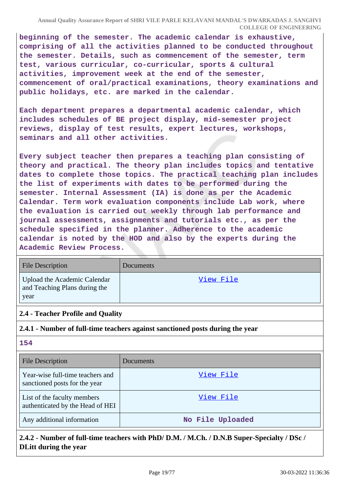**beginning of the semester. The academic calendar is exhaustive, comprising of all the activities planned to be conducted throughout the semester. Details, such as commencement of the semester, term test, various curricular, co-curricular, sports & cultural activities, improvement week at the end of the semester, commencement of oral/practical examinations, theory examinations and public holidays, etc. are marked in the calendar.**

**Each department prepares a departmental academic calendar, which includes schedules of BE project display, mid-semester project reviews, display of test results, expert lectures, workshops, seminars and all other activities.**

**Every subject teacher then prepares a teaching plan consisting of theory and practical. The theory plan includes topics and tentative dates to complete those topics. The practical teaching plan includes the list of experiments with dates to be performed during the semester. Internal Assessment (IA) is done as per the Academic Calendar. Term work evaluation components include Lab work, where the evaluation is carried out weekly through lab performance and journal assessments, assignments and tutorials etc., as per the schedule specified in the planner. Adherence to the academic calendar is noted by the HOD and also by the experts during the Academic Review Process.**

| <b>File Description</b>                                               | <b>Documents</b> |
|-----------------------------------------------------------------------|------------------|
| Upload the Academic Calendar<br>and Teaching Plans during the<br>year | <u>View File</u> |

### **2.4 - Teacher Profile and Quality**

### **2.4.1 - Number of full-time teachers against sanctioned posts during the year**

**154**

| <b>File Description</b>                                           | Documents        |
|-------------------------------------------------------------------|------------------|
| Year-wise full-time teachers and<br>sanctioned posts for the year | View File        |
| List of the faculty members<br>authenticated by the Head of HEI   | View File        |
| Any additional information                                        | No File Uploaded |

# **2.4.2 - Number of full-time teachers with PhD/ D.M. / M.Ch. / D.N.B Super-Specialty / DSc / DLitt during the year**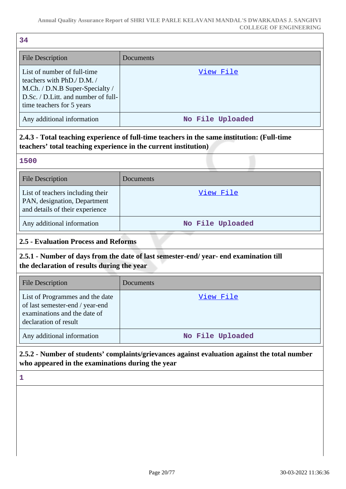| 34                                                                                                                                                              |                  |  |
|-----------------------------------------------------------------------------------------------------------------------------------------------------------------|------------------|--|
| <b>File Description</b>                                                                                                                                         | Documents        |  |
| List of number of full-time<br>teachers with PhD./ D.M./<br>M.Ch. / D.N.B Super-Specialty /<br>D.Sc. / D.Litt. and number of full-<br>time teachers for 5 years | View File        |  |
| Any additional information                                                                                                                                      | No File Uploaded |  |
| 2.4.3 - Total teaching experience of full-time teachers in the same institution: (Full-time<br>teachers' total teaching experience in the current institution)  |                  |  |
| 1500                                                                                                                                                            |                  |  |
| <b>File Description</b>                                                                                                                                         | Documents        |  |
| List of teachers including their<br>PAN, designation, Department<br>and details of their experience                                                             | <u>View File</u> |  |
| Any additional information                                                                                                                                      | No File Uploaded |  |
| <b>2.5 - Evaluation Process and Reforms</b>                                                                                                                     |                  |  |
| 2.5.1 - Number of days from the date of last semester-end/year- end examination till<br>the declaration of results during the year                              |                  |  |
| <b>File Description</b>                                                                                                                                         | Documents        |  |
| List of Programmes and the date<br>of last semester-end / year-end<br>examinations and the date of                                                              | <u>View File</u> |  |

declaration of result Any additional information **No File Uploaded** 

**2.5.2 - Number of students' complaints/grievances against evaluation against the total number who appeared in the examinations during the year**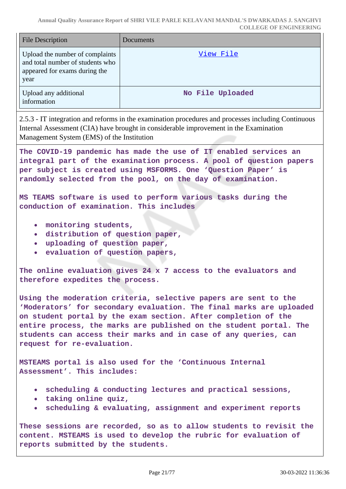| <b>File Description</b>                                                                                      | <b>Documents</b> |
|--------------------------------------------------------------------------------------------------------------|------------------|
| Upload the number of complaints<br>and total number of students who<br>appeared for exams during the<br>year | View File        |
| Upload any additional<br>information                                                                         | No File Uploaded |

2.5.3 - IT integration and reforms in the examination procedures and processes including Continuous Internal Assessment (CIA) have brought in considerable improvement in the Examination Management System (EMS) of the Institution

**The COVID-19 pandemic has made the use of IT enabled services an integral part of the examination process. A pool of question papers per subject is created using MSFORMS. One 'Question Paper' is randomly selected from the pool, on the day of examination.**

**MS TEAMS software is used to perform various tasks during the conduction of examination. This includes**

- **monitoring students,**
- **distribution of question paper,**
- **uploading of question paper,**
- **evaluation of question papers,**

**The online evaluation gives 24 x 7 access to the evaluators and therefore expedites the process.**

**Using the moderation criteria, selective papers are sent to the 'Moderators' for secondary evaluation. The final marks are uploaded on student portal by the exam section. After completion of the entire process, the marks are published on the student portal. The students can access their marks and in case of any queries, can request for re-evaluation.**

**MSTEAMS portal is also used for the 'Continuous Internal Assessment'. This includes:**

- **scheduling & conducting lectures and practical sessions,**
- **taking online quiz,**
- **scheduling & evaluating, assignment and experiment reports**  $\bullet$

**These sessions are recorded, so as to allow students to revisit the content. MSTEAMS is used to develop the rubric for evaluation of reports submitted by the students.**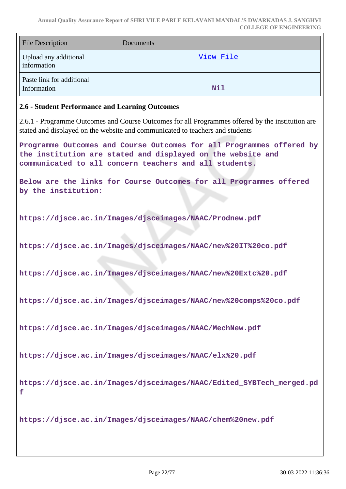| <b>File Description</b>                  | <b>Documents</b> |
|------------------------------------------|------------------|
| Upload any additional<br>information     | View File        |
| Paste link for additional<br>Information | Nil              |

#### **2.6 - Student Performance and Learning Outcomes**

2.6.1 - Programme Outcomes and Course Outcomes for all Programmes offered by the institution are stated and displayed on the website and communicated to teachers and students

**Programme Outcomes and Course Outcomes for all Programmes offered by the institution are stated and displayed on the website and communicated to all concern teachers and all students.**

**Below are the links for Course Outcomes for all Programmes offered by the institution:**

**https://djsce.ac.in/Images/djsceimages/NAAC/Prodnew.pdf**

**https://djsce.ac.in/Images/djsceimages/NAAC/new%20IT%20co.pdf**

**https://djsce.ac.in/Images/djsceimages/NAAC/new%20Extc%20.pdf**

**https://djsce.ac.in/Images/djsceimages/NAAC/new%20comps%20co.pdf**

**https://djsce.ac.in/Images/djsceimages/NAAC/MechNew.pdf**

**https://djsce.ac.in/Images/djsceimages/NAAC/elx%20.pdf**

**https://djsce.ac.in/Images/djsceimages/NAAC/Edited\_SYBTech\_merged.pd f**

**https://djsce.ac.in/Images/djsceimages/NAAC/chem%20new.pdf**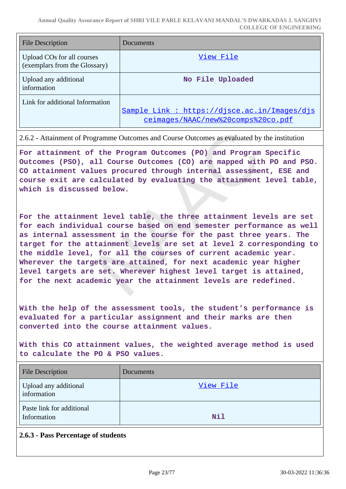| File Description                                            | Documents                                                                          |
|-------------------------------------------------------------|------------------------------------------------------------------------------------|
| Upload COs for all courses<br>(exemplars from the Glossary) | View File                                                                          |
| Upload any additional<br>information                        | No File Uploaded                                                                   |
| Link for additional Information                             | Sample Link : https://disce.ac.in/Images/dis<br>ceimages/NAAC/new%20comps%20co.pdf |

#### 2.6.2 - Attainment of Programme Outcomes and Course Outcomes as evaluated by the institution

**For attainment of the Program Outcomes (PO) and Program Specific Outcomes (PSO), all Course Outcomes (CO) are mapped with PO and PSO. CO attainment values procured through internal assessment, ESE and course exit are calculated by evaluating the attainment level table, which is discussed below.**

**For the attainment level table, the three attainment levels are set for each individual course based on end semester performance as well as internal assessment in the course for the past three years. The target for the attainment levels are set at level 2 corresponding to the middle level, for all the courses of current academic year. Wherever the targets are attained, for next academic year higher level targets are set. Wherever highest level target is attained, for the next academic year the attainment levels are redefined.**

**With the help of the assessment tools, the student's performance is evaluated for a particular assignment and their marks are then converted into the course attainment values.**

**With this CO attainment values, the weighted average method is used to calculate the PO & PSO values.**

| <b>File Description</b>                  | Documents  |
|------------------------------------------|------------|
| Upload any additional<br>information     | View File  |
| Paste link for additional<br>Information | <b>Nil</b> |

### **2.6.3 - Pass Percentage of students**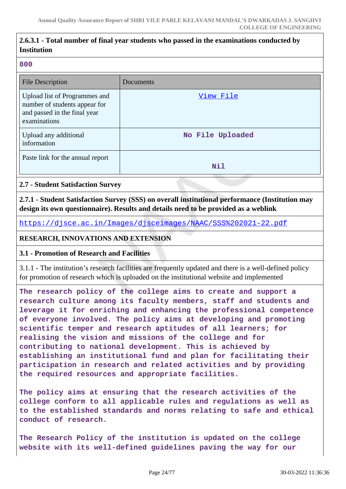### **2.6.3.1 - Total number of final year students who passed in the examinations conducted by Institution**

#### **800**

| <b>File Description</b>                                                                                        | Documents        |
|----------------------------------------------------------------------------------------------------------------|------------------|
| Upload list of Programmes and<br>number of students appear for<br>and passed in the final year<br>examinations | View File        |
| Upload any additional<br>information                                                                           | No File Uploaded |
| Paste link for the annual report                                                                               | Nil              |

### **2.7 - Student Satisfaction Survey**

**2.7.1 - Student Satisfaction Survey (SSS) on overall institutional performance (Institution may design its own questionnaire). Results and details need to be provided as a weblink**

<https://djsce.ac.in/Images/djsceimages/NAAC/SSS%202021-22.pdf>

### **RESEARCH, INNOVATIONS AND EXTENSION**

### **3.1 - Promotion of Research and Facilities**

3.1.1 - The institution's research facilities are frequently updated and there is a well-defined policy for promotion of research which is uploaded on the institutional website and implemented

**The research policy of the college aims to create and support a research culture among its faculty members, staff and students and leverage it for enriching and enhancing the professional competence of everyone involved. The policy aims at developing and promoting scientific temper and research aptitudes of all learners; for realising the vision and missions of the college and for contributing to national development. This is achieved by establishing an institutional fund and plan for facilitating their participation in research and related activities and by providing the required resources and appropriate facilities.**

**The policy aims at ensuring that the research activities of the college conform to all applicable rules and regulations as well as to the established standards and norms relating to safe and ethical conduct of research.**

**The Research Policy of the institution is updated on the college website with its well-defined guidelines paving the way for our**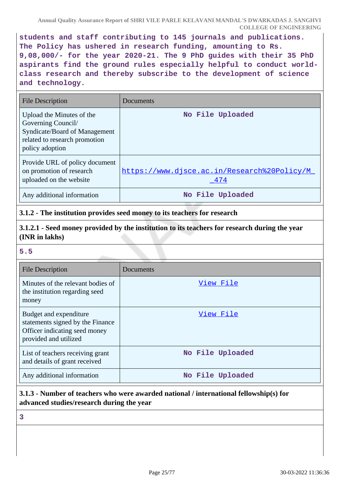**students and staff contributing to 145 journals and publications. The Policy has ushered in research funding, amounting to Rs. 9,08,000/- for the year 2020-21. The 9 PhD guides with their 35 PhD aspirants find the ground rules especially helpful to conduct worldclass research and thereby subscribe to the development of science and technology.**

| File Description                                                                                                                     | Documents                                          |
|--------------------------------------------------------------------------------------------------------------------------------------|----------------------------------------------------|
| Upload the Minutes of the<br>Governing Council/<br>Syndicate/Board of Management<br>related to research promotion<br>policy adoption | No File Uploaded                                   |
| Provide URL of policy document<br>on promotion of research<br>uploaded on the website                                                | https://www.disce.ac.in/Research%20Policy/M<br>474 |
| Any additional information                                                                                                           | No File Uploaded                                   |

### **3.1.2 - The institution provides seed money to its teachers for research**

**3.1.2.1 - Seed money provided by the institution to its teachers for research during the year (INR in lakhs)**

### **5.5**

| <b>File Description</b>                                                                                              | Documents        |
|----------------------------------------------------------------------------------------------------------------------|------------------|
| Minutes of the relevant bodies of<br>the institution regarding seed<br>money                                         | View File        |
| Budget and expenditure<br>statements signed by the Finance<br>Officer indicating seed money<br>provided and utilized | View File        |
| List of teachers receiving grant<br>and details of grant received                                                    | No File Uploaded |
| Any additional information                                                                                           | No File Uploaded |

# **3.1.3 - Number of teachers who were awarded national / international fellowship(s) for advanced studies/research during the year**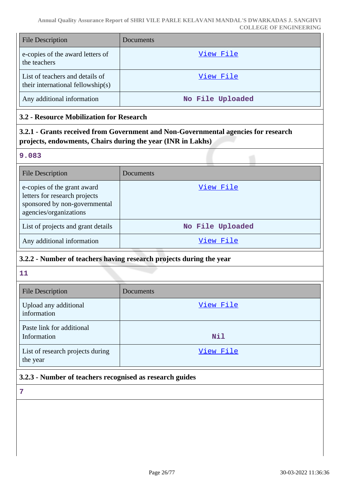| <b>File Description</b>                                              | <b>Documents</b> |
|----------------------------------------------------------------------|------------------|
| e-copies of the award letters of<br>the teachers                     | View File        |
| List of teachers and details of<br>their international fellowship(s) | View File        |
| Any additional information                                           | No File Uploaded |

### **3.2 - Resource Mobilization for Research**

**3.2.1 - Grants received from Government and Non-Governmental agencies for research projects, endowments, Chairs during the year (INR in Lakhs)**

#### **9.083**

| <b>File Description</b>                                                                                                 | Documents        |
|-------------------------------------------------------------------------------------------------------------------------|------------------|
| e-copies of the grant award<br>letters for research projects<br>sponsored by non-governmental<br>agencies/organizations | View File        |
| List of projects and grant details                                                                                      | No File Uploaded |
| Any additional information                                                                                              | View File        |

### **3.2.2 - Number of teachers having research projects during the year**

**11**

| <b>File Description</b>                      | Documents  |
|----------------------------------------------|------------|
| Upload any additional<br>information         | View File  |
| Paste link for additional<br>Information     | <b>Nil</b> |
| List of research projects during<br>the year | View File  |

# **3.2.3 - Number of teachers recognised as research guides**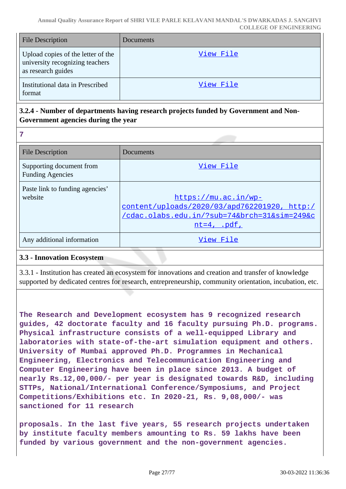| <b>File Description</b>                                                                     | Documents |
|---------------------------------------------------------------------------------------------|-----------|
| Upload copies of the letter of the<br>university recognizing teachers<br>as research guides | View File |
| Institutional data in Prescribed<br>format                                                  | View File |

### **3.2.4 - Number of departments having research projects funded by Government and Non-Government agencies during the year**

**7**

| <b>File Description</b>                             | Documents                                                                                                                            |
|-----------------------------------------------------|--------------------------------------------------------------------------------------------------------------------------------------|
| Supporting document from<br><b>Funding Agencies</b> | View File                                                                                                                            |
| Paste link to funding agencies'<br>website          | https://mu.ac.in/wp-<br>content/uploads/2020/03/apd762201920, http:/<br>/cdac.olabs.edu.in/?sub=74&brch=31∼=249&c<br>$nt=4$ , $.pdf$ |
| Any additional information                          | View File                                                                                                                            |

### **3.3 - Innovation Ecosystem**

3.3.1 - Institution has created an ecosystem for innovations and creation and transfer of knowledge supported by dedicated centres for research, entrepreneurship, community orientation, incubation, etc.

**The Research and Development ecosystem has 9 recognized research guides, 42 doctorate faculty and 16 faculty pursuing Ph.D. programs. Physical infrastructure consists of a well-equipped Library and laboratories with state-of-the-art simulation equipment and others. University of Mumbai approved Ph.D. Programmes in Mechanical Engineering, Electronics and Telecommunication Engineering and Computer Engineering have been in place since 2013. A budget of nearly Rs.12,00,000/- per year is designated towards R&D, including STTPs, National/International Conference/Symposiums, and Project Competitions/Exhibitions etc. In 2020-21, Rs. 9,08,000/- was sanctioned for 11 research**

**proposals. In the last five years, 55 research projects undertaken by institute faculty members amounting to Rs. 59 lakhs have been funded by various government and the non-government agencies.**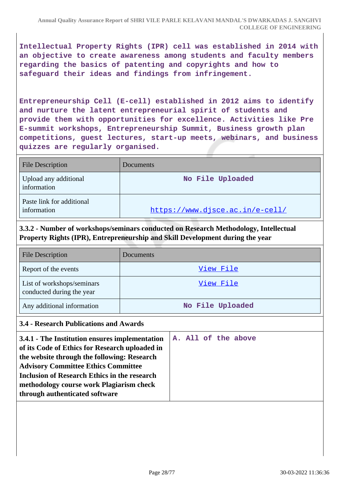**Intellectual Property Rights (IPR) cell was established in 2014 with an objective to create awareness among students and faculty members regarding the basics of patenting and copyrights and how to safeguard their ideas and findings from infringement.**

**Entrepreneurship Cell (E-cell) established in 2012 aims to identify and nurture the latent entrepreneurial spirit of students and provide them with opportunities for excellence. Activities like Pre E-summit workshops, Entrepreneurship Summit, Business growth plan competitions, guest lectures, start-up meets, webinars, and business quizzes are regularly organised.**

| <b>File Description</b>                  | Documents                       |
|------------------------------------------|---------------------------------|
| Upload any additional<br>information     | No File Uploaded                |
| Paste link for additional<br>information | https://www.djsce.ac.in/e-cell/ |

**3.3.2 - Number of workshops/seminars conducted on Research Methodology, Intellectual Property Rights (IPR), Entrepreneurship and Skill Development during the year**

| <b>File Description</b>                                 | <b>Documents</b> |
|---------------------------------------------------------|------------------|
| Report of the events                                    | View File        |
| List of workshops/seminars<br>conducted during the year | View File        |
| Any additional information                              | No File Uploaded |

### **3.4 - Research Publications and Awards**

| 3.4.1 - The Institution ensures implementation<br>of its Code of Ethics for Research uploaded in |  |  | A. All of the above |
|--------------------------------------------------------------------------------------------------|--|--|---------------------|
| the website through the following: Research                                                      |  |  |                     |
| <b>Advisory Committee Ethics Committee</b>                                                       |  |  |                     |
| Inclusion of Research Ethics in the research                                                     |  |  |                     |
| methodology course work Plagiarism check                                                         |  |  |                     |
| through authenticated software                                                                   |  |  |                     |
|                                                                                                  |  |  |                     |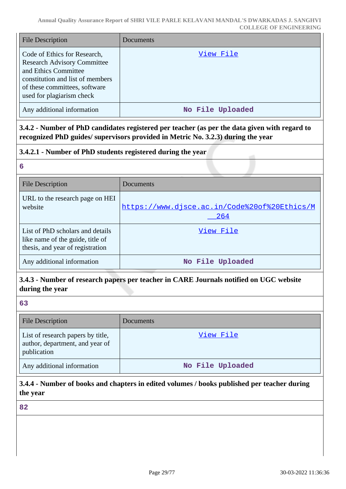| <b>File Description</b>                                                                                                                                                                      | <b>Documents</b> |
|----------------------------------------------------------------------------------------------------------------------------------------------------------------------------------------------|------------------|
| Code of Ethics for Research,<br><b>Research Advisory Committee</b><br>and Ethics Committee<br>constitution and list of members<br>of these committees, software<br>used for plagiarism check | View File        |
| Any additional information                                                                                                                                                                   | No File Uploaded |

**3.4.2 - Number of PhD candidates registered per teacher (as per the data given with regard to recognized PhD guides/ supervisors provided in Metric No. 3.2.3) during the year**

### **3.4.2.1 - Number of PhD students registered during the year**

#### **6**

| <b>File Description</b>                                                                                  | Documents                                           |
|----------------------------------------------------------------------------------------------------------|-----------------------------------------------------|
| URL to the research page on HEI<br>website                                                               | https://www.djsce.ac.in/Code%20of%20Ethics/M<br>264 |
| List of PhD scholars and details<br>like name of the guide, title of<br>thesis, and year of registration | View File                                           |
| Any additional information                                                                               | No File Uploaded                                    |

### **3.4.3 - Number of research papers per teacher in CARE Journals notified on UGC website during the year**

### **63**

| <b>File Description</b>                                                             | Documents        |
|-------------------------------------------------------------------------------------|------------------|
| List of research papers by title,<br>author, department, and year of<br>publication | View File        |
| Any additional information                                                          | No File Uploaded |

# **3.4.4 - Number of books and chapters in edited volumes / books published per teacher during the year**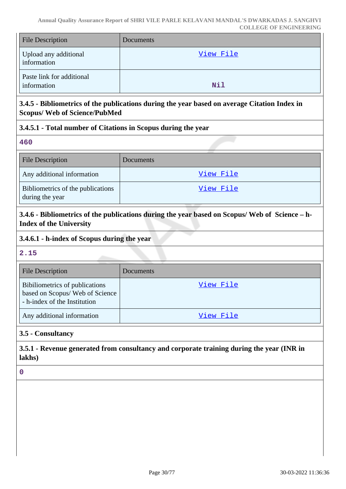| <b>File Description</b>                  | <b>Documents</b> |
|------------------------------------------|------------------|
| Upload any additional<br>information     | View File        |
| Paste link for additional<br>information | <b>Nil</b>       |

# **3.4.5 - Bibliometrics of the publications during the year based on average Citation Index in Scopus/ Web of Science/PubMed**

### **3.4.5.1 - Total number of Citations in Scopus during the year**

**460**

| <b>File Description</b>                              | Documents |
|------------------------------------------------------|-----------|
| Any additional information                           | View File |
| Bibliometrics of the publications<br>during the year | View File |

**3.4.6 - Bibliometrics of the publications during the year based on Scopus/ Web of Science – h-Index of the University**

### **3.4.6.1 - h-index of Scopus during the year**

**2.15**

| <b>File Description</b>                                                                           | Documents |
|---------------------------------------------------------------------------------------------------|-----------|
| Bibiliometrics of publications<br>based on Scopus/ Web of Science<br>- h-index of the Institution | View File |
| Any additional information                                                                        | View File |

# **3.5 - Consultancy**

# **3.5.1 - Revenue generated from consultancy and corporate training during the year (INR in lakhs)**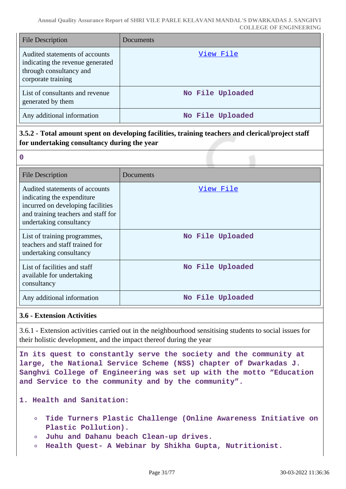| <b>File Description</b>                                                                                             | Documents        |
|---------------------------------------------------------------------------------------------------------------------|------------------|
| Audited statements of accounts<br>indicating the revenue generated<br>through consultancy and<br>corporate training | View File        |
| List of consultants and revenue<br>generated by them                                                                | No File Uploaded |
| Any additional information                                                                                          | No File Uploaded |

# **3.5.2 - Total amount spent on developing facilities, training teachers and clerical/project staff for undertaking consultancy during the year**

| 2  |    |  |
|----|----|--|
|    |    |  |
|    | ı  |  |
| ۰. | ۰. |  |

| <b>File Description</b>                                                                                                                                             | Documents        |
|---------------------------------------------------------------------------------------------------------------------------------------------------------------------|------------------|
| Audited statements of accounts<br>indicating the expenditure<br>incurred on developing facilities<br>and training teachers and staff for<br>undertaking consultancy | View File        |
| List of training programmes,<br>teachers and staff trained for<br>undertaking consultancy                                                                           | No File Uploaded |
| List of facilities and staff<br>available for undertaking<br>consultancy                                                                                            | No File Uploaded |
| Any additional information                                                                                                                                          | No File Uploaded |

### **3.6 - Extension Activities**

3.6.1 - Extension activities carried out in the neighbourhood sensitising students to social issues for their holistic development, and the impact thereof during the year

**In its quest to constantly serve the society and the community at large, the National Service Scheme (NSS) chapter of Dwarkadas J. Sanghvi College of Engineering was set up with the motto "Education and Service to the community and by the community".**

### **1. Health and Sanitation:**

- **Tide Turners Plastic Challenge (Online Awareness Initiative on Plastic Pollution).**
- **Juhu and Dahanu beach Clean-up drives.**  $\circ$
- **Health Quest- A Webinar by Shikha Gupta, Nutritionist.**  $\circ$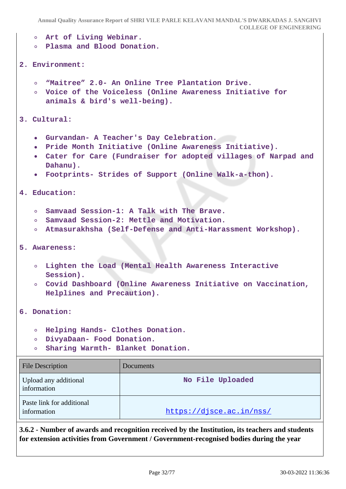```
Annual Quality Assurance Report of SHRI VILE PARLE KELAVANI MANDAL'S DWARKADAS J. SANGHVI
                                                    COLLEGE OF ENGINEERING
      Art of Living Webinar.
   \circPlasma and Blood Donation.
   \circ2. Environment:
      "Maitree" 2.0- An Online Tree Plantation Drive.
   \circVoice of the Voiceless (Online Awareness Initiative for
   \Omegaanimals & bird's well-being).
3. Cultural:
      Gurvandan- A Teacher's Day Celebration.
   \bulletPride Month Initiative (Online Awareness Initiative).
   \bulletCater for Care (Fundraiser for adopted villages of Narpad and
      Dahanu).
     Footprints- Strides of Support (Online Walk-a-thon).
4. Education:
      Samvaad Session-1: A Talk with The Brave.
   \circ\circSamvaad Session-2: Mettle and Motivation.
      Atmasurakhsha (Self-Defense and Anti-Harassment Workshop).
   \circ5. Awareness:
   Lighten the Load (Mental Health Awareness Interactive
      Session).
   Covid Dashboard (Online Awareness Initiative on Vaccination,
      Helplines and Precaution).
6. Donation:
      Helping Hands- Clothes Donation.
   \circDivyaDaan- Food Donation.
      Sharing Warmth- Blanket Donation.
   \circFile Description Documents
Upload any additional
                                       No File Uploaded
information
Paste link for additional
https://djsce.ac.in/nss/
```
**3.6.2 - Number of awards and recognition received by the Institution, its teachers and students for extension activities from Government / Government-recognised bodies during the year**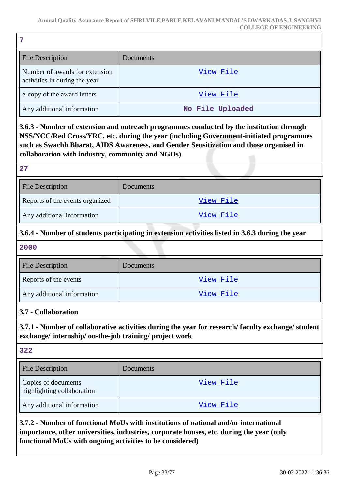| <b>File Description</b>                                         | Documents        |
|-----------------------------------------------------------------|------------------|
| Number of awards for extension<br>activities in during the year | View File        |
| e-copy of the award letters                                     | View File        |
| Any additional information                                      | No File Uploaded |

**3.6.3 - Number of extension and outreach programmes conducted by the institution through NSS/NCC/Red Cross/YRC, etc. during the year (including Government-initiated programmes such as Swachh Bharat, AIDS Awareness, and Gender Sensitization and those organised in collaboration with industry, community and NGOs)**

| 27                              |                  |
|---------------------------------|------------------|
| <b>File Description</b>         | <b>Documents</b> |
| Reports of the events organized | View File        |
| Any additional information      | View File        |

# **3.6.4 - Number of students participating in extension activities listed in 3.6.3 during the year**

#### **2000**

| <b>File Description</b>    | Documents |
|----------------------------|-----------|
| Reports of the events      | View File |
| Any additional information | View File |

### **3.7 - Collaboration**

**3.7.1 - Number of collaborative activities during the year for research/ faculty exchange/ student exchange/ internship/ on-the-job training/ project work**

#### **322**

| <b>File Description</b>                           | Documents |
|---------------------------------------------------|-----------|
| Copies of documents<br>highlighting collaboration | View File |
| Any additional information                        | View File |

**3.7.2 - Number of functional MoUs with institutions of national and/or international importance, other universities, industries, corporate houses, etc. during the year (only functional MoUs with ongoing activities to be considered)**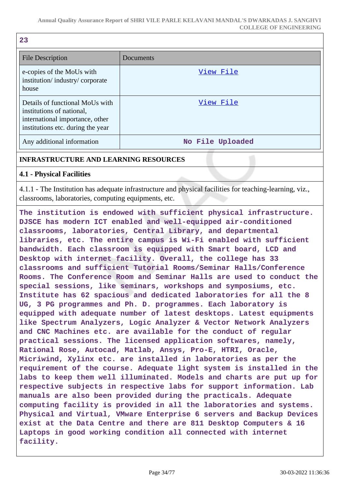| 23                                                                                                                                   |                  |
|--------------------------------------------------------------------------------------------------------------------------------------|------------------|
| <b>File Description</b>                                                                                                              | Documents        |
| e-copies of the MoUs with<br>institution/industry/corporate<br>house                                                                 | View File        |
| Details of functional MoUs with<br>institutions of national,<br>international importance, other<br>institutions etc. during the year | View File        |
| Any additional information                                                                                                           | No File Uploaded |

### **INFRASTRUCTURE AND LEARNING RESOURCES**

### **4.1 - Physical Facilities**

4.1.1 - The Institution has adequate infrastructure and physical facilities for teaching-learning, viz., classrooms, laboratories, computing equipments, etc.

**The institution is endowed with sufficient physical infrastructure. DJSCE has modern ICT enabled and well-equipped air-conditioned classrooms, laboratories, Central Library, and departmental libraries, etc. The entire campus is Wi-Fi enabled with sufficient bandwidth. Each classroom is equipped with Smart board, LCD and Desktop with internet facility. Overall, the college has 33 classrooms and sufficient Tutorial Rooms/Seminar Halls/Conference Rooms. The Conference Room and Seminar Halls are used to conduct the special sessions, like seminars, workshops and symposiums, etc. Institute has 62 spacious and dedicated laboratories for all the 8 UG, 3 PG programmes and Ph. D. programmes. Each laboratory is equipped with adequate number of latest desktops. Latest equipments like Spectrum Analyzers, Logic Analyzer & Vector Network Analyzers and CNC Machines etc. are available for the conduct of regular practical sessions. The licensed application softwares, namely, Rational Rose, Autocad, Matlab, Ansys, Pro-E, HTRI, Oracle, Micriwind, Xylinx etc. are installed in laboratories as per the requirement of the course. Adequate light system is installed in the labs to keep them well illuminated. Models and charts are put up for respective subjects in respective labs for support information. Lab manuals are also been provided during the practicals. Adequate computing facility is provided in all the laboratories and systems. Physical and Virtual, VMware Enterprise 6 servers and Backup Devices exist at the Data Centre and there are 811 Desktop Computers & 16 Laptops in good working condition all connected with internet facility.**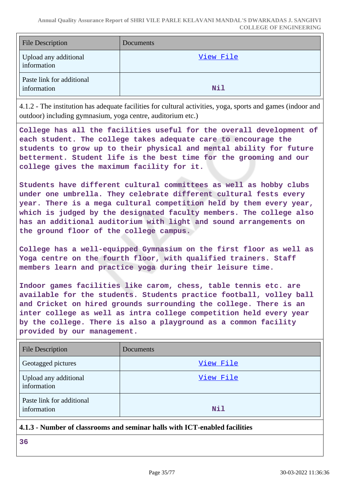| <b>File Description</b>                  | Documents |
|------------------------------------------|-----------|
| Upload any additional<br>information     | View File |
| Paste link for additional<br>information | Nil       |

4.1.2 - The institution has adequate facilities for cultural activities, yoga, sports and games (indoor and outdoor) including gymnasium, yoga centre, auditorium etc.)

**College has all the facilities useful for the overall development of each student. The college takes adequate care to encourage the students to grow up to their physical and mental ability for future betterment. Student life is the best time for the grooming and our college gives the maximum facility for it.**

**Students have different cultural committees as well as hobby clubs under one umbrella. They celebrate different cultural fests every year. There is a mega cultural competition held by them every year, which is judged by the designated faculty members. The college also has an additional auditorium with light and sound arrangements on the ground floor of the college campus.**

**College has a well-equipped Gymnasium on the first floor as well as Yoga centre on the fourth floor, with qualified trainers. Staff members learn and practice yoga during their leisure time.**

**Indoor games facilities like carom, chess, table tennis etc. are available for the students. Students practice football, volley ball and Cricket on hired grounds surrounding the college. There is an inter college as well as intra college competition held every year by the college. There is also a playground as a common facility provided by our management.**

| <b>File Description</b>                  | <b>Documents</b> |
|------------------------------------------|------------------|
| Geotagged pictures                       | View File        |
| Upload any additional<br>information     | View File        |
| Paste link for additional<br>information | Nil              |

### **4.1.3 - Number of classrooms and seminar halls with ICT-enabled facilities**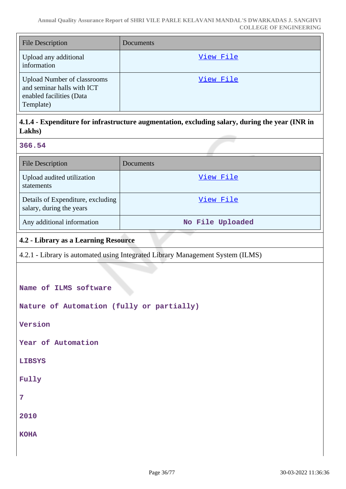| <b>File Description</b>                                                                                   | <b>Documents</b> |
|-----------------------------------------------------------------------------------------------------------|------------------|
| Upload any additional<br>information                                                                      | View File        |
| <b>Upload Number of classrooms</b><br>and seminar halls with ICT<br>enabled facilities (Data<br>Template) | View File        |

# **4.1.4 - Expenditure for infrastructure augmentation, excluding salary, during the year (INR in Lakhs)**

#### **366.54**

| File Description                                              | <b>Documents</b> |
|---------------------------------------------------------------|------------------|
| Upload audited utilization<br>statements                      | View File        |
| Details of Expenditure, excluding<br>salary, during the years | View File        |
| Any additional information                                    | No File Uploaded |

### **4.2 - Library as a Learning Resource**

4.2.1 - Library is automated using Integrated Library Management System (ILMS)

**Name of ILMS software**

**Nature of Automation (fully or partially)**

**Version**

**Year of Automation**

**LIBSYS**

**Fully**

**7**

**2010**

**KOHA**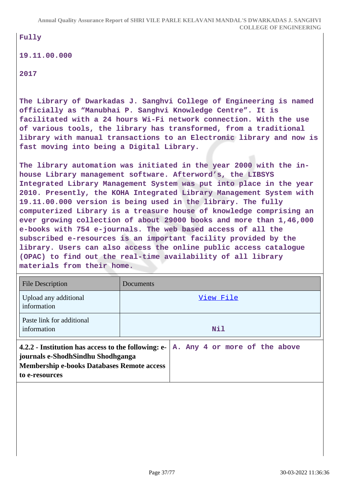### **Fully**

### **19.11.00.000**

**2017**

**The Library of Dwarkadas J. Sanghvi College of Engineering is named officially as "Manubhai P. Sanghvi Knowledge Centre". It is facilitated with a 24 hours Wi-Fi network connection. With the use of various tools, the library has transformed, from a traditional library with manual transactions to an Electronic library and now is fast moving into being a Digital Library.**

**The library automation was initiated in the year 2000 with the inhouse Library management software. Afterword's, the LIBSYS Integrated Library Management System was put into place in the year 2010. Presently, the KOHA Integrated Library Management System with 19.11.00.000 version is being used in the library. The fully computerized Library is a treasure house of knowledge comprising an ever growing collection of about 29000 books and more than 1,46,000 e-books with 754 e-journals. The web based access of all the subscribed e-resources is an important facility provided by the library. Users can also access the online public access catalogue (OPAC) to find out the real-time availability of all library materials from their home.**

| <b>File Description</b>                                                                                                                                         | Documents                     |  |
|-----------------------------------------------------------------------------------------------------------------------------------------------------------------|-------------------------------|--|
| Upload any additional<br>information                                                                                                                            | View File                     |  |
| Paste link for additional<br>information                                                                                                                        | Nil                           |  |
| 4.2.2 - Institution has access to the following: e-<br>journals e-ShodhSindhu Shodhganga<br><b>Membership e-books Databases Remote access</b><br>to e-resources | A. Any 4 or more of the above |  |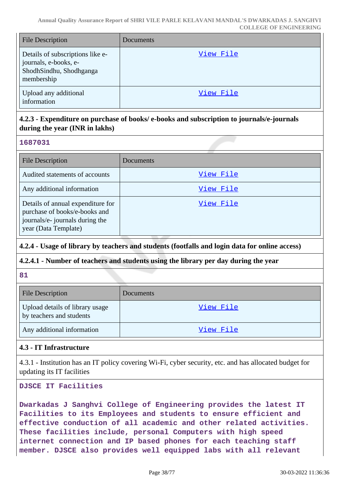| <b>File Description</b>                                                                            | Documents |
|----------------------------------------------------------------------------------------------------|-----------|
| Details of subscriptions like e-<br>journals, e-books, e-<br>ShodhSindhu, Shodhganga<br>membership | View File |
| Upload any additional<br>information                                                               | View File |

# **4.2.3 - Expenditure on purchase of books/ e-books and subscription to journals/e-journals during the year (INR in lakhs)**

# **1687031**

| <b>File Description</b>                                                                                                       | Documents |
|-------------------------------------------------------------------------------------------------------------------------------|-----------|
| Audited statements of accounts                                                                                                | View File |
| Any additional information                                                                                                    | View File |
| Details of annual expenditure for<br>purchase of books/e-books and<br>journals/e- journals during the<br>year (Data Template) | View File |

# **4.2.4 - Usage of library by teachers and students (footfalls and login data for online access)**

# **4.2.4.1 - Number of teachers and students using the library per day during the year**

### **81**

| <b>File Description</b>                                     | Documents |
|-------------------------------------------------------------|-----------|
| Upload details of library usage<br>by teachers and students | View File |
| Any additional information                                  | View File |

# **4.3 - IT Infrastructure**

4.3.1 - Institution has an IT policy covering Wi-Fi, cyber security, etc. and has allocated budget for updating its IT facilities

**DJSCE IT Facilities**

**Dwarkadas J Sanghvi College of Engineering provides the latest IT Facilities to its Employees and students to ensure efficient and effective conduction of all academic and other related activities. These facilities include, personal Computers with high speed internet connection and IP based phones for each teaching staff member. DJSCE also provides well equipped labs with all relevant**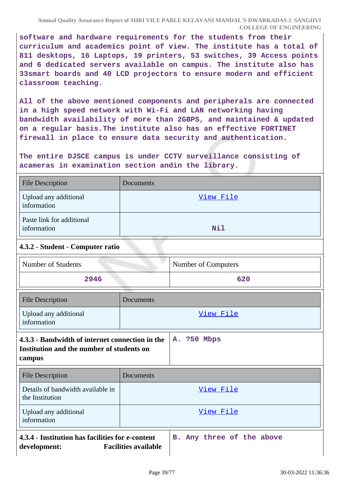**software and hardware requirements for the students from their curriculum and academics point of view. The institute has a total of 811 desktops, 16 Laptops, 19 printers, 53 switches, 39 Access points and 6 dedicated servers available on campus. The institute also has 33smart boards and 40 LCD projectors to ensure modern and efficient classroom teaching.**

**All of the above mentioned components and peripherals are connected in a high speed network with Wi-Fi and LAN networking having bandwidth availability of more than 2GBPS, and maintained & updated on a regular basis.The institute also has an effective FORTINET firewall in place to ensure data security and authentication.**

**The entire DJSCE campus is under CCTV surveillance consisting of acameras in examination section andin the library.**

| <b>File Description</b>                  | Documents |
|------------------------------------------|-----------|
| Upload any additional<br>information     | View File |
| Paste link for additional<br>information | Nil       |

# **4.3.2 - Student - Computer ratio**

| Number of Students | Number of Computers |
|--------------------|---------------------|
| 2946               | 620                 |

| <b>File Description</b>              | Documents |
|--------------------------------------|-----------|
| Upload any additional<br>information | View File |
| .                                    |           |

# **4.3.3 - Bandwidth of internet connection in the A. ?50 Mbps Institution and the number of students on campus**

| <b>File Description</b>                                          | Documents                                                |
|------------------------------------------------------------------|----------------------------------------------------------|
| Details of bandwidth available in<br>the Institution             | View File                                                |
| Upload any additional<br>information                             | View File                                                |
| 4.3.4 - Institution has facilities for e-content<br>development: | B. Any three of the above<br><b>Facilities available</b> |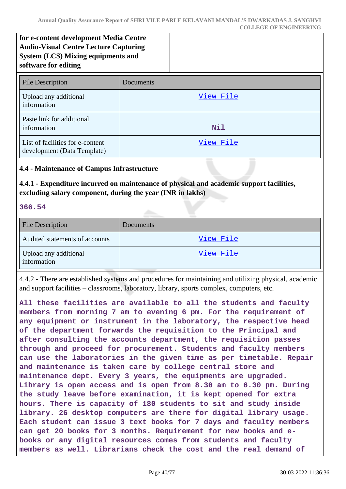**for e-content development Media Centre Audio-Visual Centre Lecture Capturing System (LCS) Mixing equipments and software for editing**

| <b>File Description</b>                                         | Documents |
|-----------------------------------------------------------------|-----------|
| Upload any additional<br>information                            | View File |
| Paste link for additional<br>information                        | Nil       |
| List of facilities for e-content<br>development (Data Template) | View File |

#### **4.4 - Maintenance of Campus Infrastructure**

**4.4.1 - Expenditure incurred on maintenance of physical and academic support facilities, excluding salary component, during the year (INR in lakhs)**

**366.54**

| <b>File Description</b>              | <b>Documents</b> |
|--------------------------------------|------------------|
| Audited statements of accounts       | View File        |
| Upload any additional<br>information | View File        |

4.4.2 - There are established systems and procedures for maintaining and utilizing physical, academic and support facilities – classrooms, laboratory, library, sports complex, computers, etc.

**All these facilities are available to all the students and faculty members from morning 7 am to evening 6 pm. For the requirement of any equipment or instrument in the laboratory, the respective head of the department forwards the requisition to the Principal and after consulting the accounts department, the requisition passes through and proceed for procurement. Students and faculty members can use the laboratories in the given time as per timetable. Repair and maintenance is taken care by college central store and maintenance dept. Every 3 years, the equipments are upgraded. Library is open access and is open from 8.30 am to 6.30 pm. During the study leave before examination, it is kept opened for extra hours. There is capacity of 180 students to sit and study inside library. 26 desktop computers are there for digital library usage. Each student can issue 3 text books for 7 days and faculty members can get 20 books for 3 months. Requirement for new books and ebooks or any digital resources comes from students and faculty members as well. Librarians check the cost and the real demand of**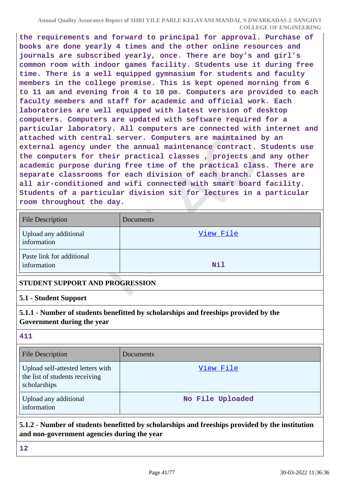**the requirements and forward to principal for approval. Purchase of books are done yearly 4 times and the other online resources and journals are subscribed yearly, once. There are boy's and girl's common room with indoor games facility. Students use it during free time. There is a well equipped gymnasium for students and faculty members in the college premise. This is kept opened morning from 6 to 11 am and evening from 4 to 10 pm. Computers are provided to each faculty members and staff for academic and official work. Each laboratories are well equipped with latest version of desktop computers. Computers are updated with software required for a particular laboratory. All computers are connected with internet and attached with central server. Computers are maintained by an external agency under the annual maintenance contract. Students use the computers for their practical classes , projects and any other academic purpose during free time of the practical class. There are separate classrooms for each division of each branch. Classes are all air-conditioned and wifi connected with smart board facility. Students of a particular division sit for lectures in a particular room throughout the day.**

| <b>File Description</b>                  | Documents  |
|------------------------------------------|------------|
| Upload any additional<br>information     | View File  |
| Paste link for additional<br>information | <b>Nil</b> |

### **STUDENT SUPPORT AND PROGRESSION**

### **5.1 - Student Support**

# **5.1.1 - Number of students benefitted by scholarships and freeships provided by the Government during the year**

# **411**

| <b>File Description</b>                                                             | Documents <sup>1</sup> |
|-------------------------------------------------------------------------------------|------------------------|
| Upload self-attested letters with<br>the list of students receiving<br>scholarships | View File              |
| Upload any additional<br>information                                                | No File Uploaded       |

# **5.1.2 - Number of students benefitted by scholarships and freeships provided by the institution and non-government agencies during the year**

**12**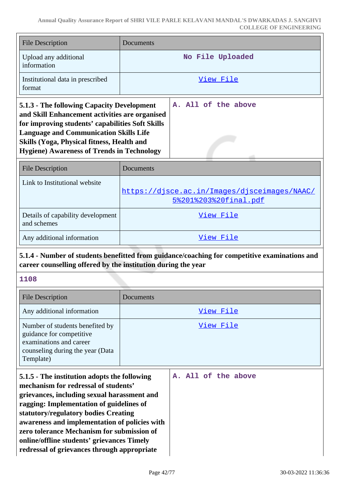| <b>File Description</b>                                                                                                                                                                                                                                                                              | Documents                                                                                     |
|------------------------------------------------------------------------------------------------------------------------------------------------------------------------------------------------------------------------------------------------------------------------------------------------------|-----------------------------------------------------------------------------------------------|
| Upload any additional<br>information                                                                                                                                                                                                                                                                 | No File Uploaded                                                                              |
| Institutional data in prescribed<br>format                                                                                                                                                                                                                                                           | View File                                                                                     |
| 5.1.3 - The following Capacity Development<br>and Skill Enhancement activities are organised<br>for improving students' capabilities Soft Skills<br><b>Language and Communication Skills Life</b><br>Skills (Yoga, Physical fitness, Health and<br><b>Hygiene) Awareness of Trends in Technology</b> | A. All of the above                                                                           |
| <b>File Description</b>                                                                                                                                                                                                                                                                              | Documents                                                                                     |
| Link to Institutional website                                                                                                                                                                                                                                                                        | https://djsce.ac.in/Images/djsceimages/NAAC/<br>5%201%203%20final.pdf                         |
| Details of capability development<br>and schemes                                                                                                                                                                                                                                                     | View File                                                                                     |
| Any additional information                                                                                                                                                                                                                                                                           | View File                                                                                     |
| career counselling offered by the institution during the year                                                                                                                                                                                                                                        | 5.1.4 - Number of students benefitted from guidance/coaching for competitive examinations and |
| 1108                                                                                                                                                                                                                                                                                                 |                                                                                               |
| <b>File Description</b>                                                                                                                                                                                                                                                                              | Documents                                                                                     |
| Any additional information                                                                                                                                                                                                                                                                           | View File                                                                                     |
| Number of students benefited by<br>guidance for competitive<br>examinations and career<br>counseling during the year (Data                                                                                                                                                                           | View File                                                                                     |

| 5.1.5 - The institution adopts the following  |  |  | A. All of the above |
|-----------------------------------------------|--|--|---------------------|
| mechanism for redressal of students'          |  |  |                     |
| grievances, including sexual harassment and   |  |  |                     |
| ragging: Implementation of guidelines of      |  |  |                     |
| statutory/regulatory bodies Creating          |  |  |                     |
| awareness and implementation of policies with |  |  |                     |
| zero tolerance Mechanism for submission of    |  |  |                     |
| online/offline students' grievances Timely    |  |  |                     |
| redressal of grievances through appropriate   |  |  |                     |

Template)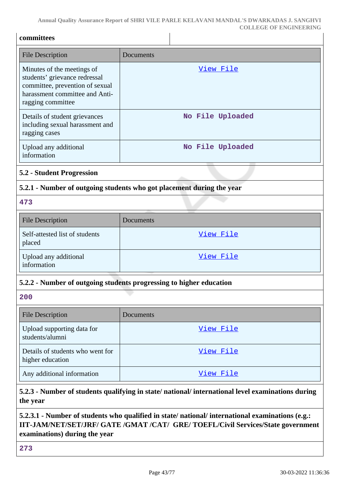| committees                                                                                                                                            |                                                                       |
|-------------------------------------------------------------------------------------------------------------------------------------------------------|-----------------------------------------------------------------------|
| <b>File Description</b>                                                                                                                               | Documents                                                             |
| Minutes of the meetings of<br>students' grievance redressal<br>committee, prevention of sexual<br>harassment committee and Anti-<br>ragging committee | View File                                                             |
| Details of student grievances<br>including sexual harassment and<br>ragging cases                                                                     | No File Uploaded                                                      |
| Upload any additional<br>information                                                                                                                  | No File Uploaded                                                      |
| <b>5.2 - Student Progression</b>                                                                                                                      |                                                                       |
|                                                                                                                                                       | 5.2.1 - Number of outgoing students who got placement during the year |
| 473                                                                                                                                                   |                                                                       |
| <b>File Description</b>                                                                                                                               | Documents                                                             |
| Self-attested list of students<br>placed                                                                                                              | View File                                                             |
| Upload any additional<br>information                                                                                                                  | <u>View File</u>                                                      |
|                                                                                                                                                       | 5.2.2 - Number of outgoing students progressing to higher education   |
| 200                                                                                                                                                   |                                                                       |
| <b>File Description</b>                                                                                                                               | Documents                                                             |
| Upload supporting data for<br>students/alumni                                                                                                         | View File                                                             |
| Details of students who went for<br>higher education                                                                                                  | View File                                                             |
| Any additional information                                                                                                                            | View File                                                             |

**5.2.3 - Number of students qualifying in state/ national/ international level examinations during the year**

# **5.2.3.1 - Number of students who qualified in state/ national/ international examinations (e.g.: IIT-JAM/NET/SET/JRF/ GATE /GMAT /CAT/ GRE/ TOEFL/Civil Services/State government examinations) during the year**

**273**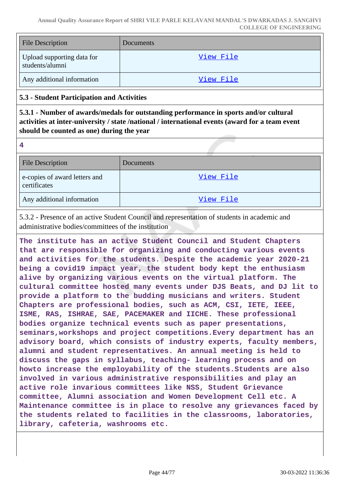| <b>File Description</b>                       | <b>Documents</b> |
|-----------------------------------------------|------------------|
| Upload supporting data for<br>students/alumni | View File        |
| Any additional information                    | View File        |

### **5.3 - Student Participation and Activities**

**5.3.1 - Number of awards/medals for outstanding performance in sports and/or cultural activities at inter-university / state /national / international events (award for a team event should be counted as one) during the year**

**4**

| <b>File Description</b>                       | Documents |
|-----------------------------------------------|-----------|
| e-copies of award letters and<br>certificates | View File |
| Any additional information                    | View File |

5.3.2 - Presence of an active Student Council and representation of students in academic and administrative bodies/committees of the institution

**The institute has an active Student Council and Student Chapters that are responsible for organizing and conducting various events and activities for the students. Despite the academic year 2020-21 being a covid19 impact year, the student body kept the enthusiasm alive by organizing various events on the virtual platform. The cultural committee hosted many events under DJS Beats, and DJ lit to provide a platform to the budding musicians and writers. Student Chapters are professional bodies, such as ACM, CSI, IETE, IEEE, ISME, RAS, ISHRAE, SAE, PACEMAKER and IICHE. These professional bodies organize technical events such as paper presentations, seminars,workshops and project competitions.Every department has an advisory board, which consists of industry experts, faculty members, alumni and student representatives. An annual meeting is held to discuss the gaps in syllabus, teaching- learning process and on howto increase the employability of the students.Students are also involved in various administrative responsibilities and play an active role invarious committees like NSS, Student Grievance committee, Alumni association and Women Development Cell etc. A Maintenance committee is in place to resolve any grievances faced by the students related to facilities in the classrooms, laboratories, library, cafeteria, washrooms etc.**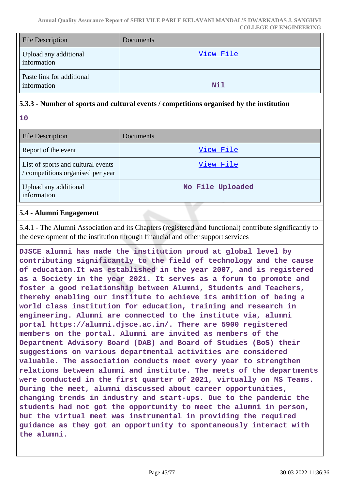| <b>File Description</b>                  | Documents |
|------------------------------------------|-----------|
| Upload any additional<br>information     | View File |
| Paste link for additional<br>information | Nil       |

## **5.3.3 - Number of sports and cultural events / competitions organised by the institution**

**10**

| <b>File Description</b>                                                 | Documents        |
|-------------------------------------------------------------------------|------------------|
| Report of the event                                                     | View File        |
| List of sports and cultural events<br>/ competitions organised per year | View File        |
| Upload any additional<br>information                                    | No File Uploaded |

### **5.4 - Alumni Engagement**

5.4.1 - The Alumni Association and its Chapters (registered and functional) contribute significantly to the development of the institution through financial and other support services

**DJSCE alumni has made the institution proud at global level by contributing significantly to the field of technology and the cause of education.It was established in the year 2007, and is registered as a Society in the year 2021. It serves as a forum to promote and foster a good relationship between Alumni, Students and Teachers, thereby enabling our institute to achieve its ambition of being a world class institution for education, training and research in engineering. Alumni are connected to the institute via, alumni portal https://alumni.djsce.ac.in/. There are 5900 registered members on the portal. Alumni are invited as members of the Department Advisory Board (DAB) and Board of Studies (BoS) their suggestions on various departmental activities are considered valuable. The association conducts meet every year to strengthen relations between alumni and institute. The meets of the departments were conducted in the first quarter of 2021, virtually on MS Teams. During the meet, alumni discussed about career opportunities, changing trends in industry and start-ups. Due to the pandemic the students had not got the opportunity to meet the alumni in person, but the virtual meet was instrumental in providing the required guidance as they got an opportunity to spontaneously interact with the alumni.**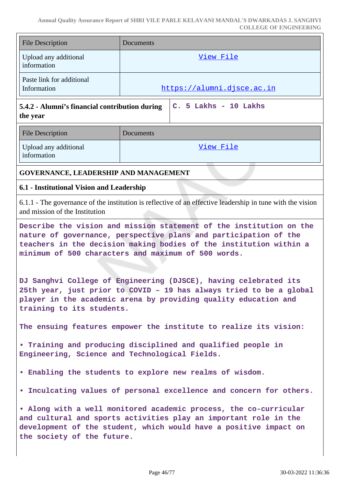| <b>File Description</b>                                                                                                                                                                                                                                              | Documents                                                                                                  |  |
|----------------------------------------------------------------------------------------------------------------------------------------------------------------------------------------------------------------------------------------------------------------------|------------------------------------------------------------------------------------------------------------|--|
| Upload any additional<br>information                                                                                                                                                                                                                                 | View File                                                                                                  |  |
| Paste link for additional<br>Information                                                                                                                                                                                                                             | https://alumni.djsce.ac.in                                                                                 |  |
| 5.4.2 - Alumni's financial contribution during<br>the year                                                                                                                                                                                                           | C. 5 Lakhs - 10 Lakhs                                                                                      |  |
| <b>File Description</b>                                                                                                                                                                                                                                              | Documents                                                                                                  |  |
| Upload any additional<br>information                                                                                                                                                                                                                                 | View File                                                                                                  |  |
| GOVERNANCE, LEADERSHIP AND MANAGEMENT                                                                                                                                                                                                                                |                                                                                                            |  |
| 6.1 - Institutional Vision and Leadership                                                                                                                                                                                                                            |                                                                                                            |  |
| and mission of the Institution                                                                                                                                                                                                                                       | 6.1.1 - The governance of the institution is reflective of an effective leadership in tune with the vision |  |
| Describe the vision and mission statement of the institution on the<br>nature of governance, perspective plans and participation of the<br>teachers in the decision making bodies of the institution within a<br>minimum of 500 characters and maximum of 500 words. |                                                                                                            |  |
| DJ Sanghvi College of Engineering (DJSCE), having celebrated its<br>25th year, just prior to COVID - 19 has always tried to be a global<br>player in the academic arena by providing quality education and<br>training to its students.                              |                                                                                                            |  |
| The ensuing features empower the institute to realize its vision:                                                                                                                                                                                                    |                                                                                                            |  |
| . Training and producing disciplined and qualified people in<br>Engineering, Science and Technological Fields.                                                                                                                                                       |                                                                                                            |  |
| . Enabling the students to explore new realms of wisdom.                                                                                                                                                                                                             |                                                                                                            |  |
| . Inculcating values of personal excellence and concern for others.                                                                                                                                                                                                  |                                                                                                            |  |
| . Along with a well monitored academic process, the co-curricular<br>and cultural and sports activities play an important role in the<br>development of the student, which would have a positive impact on<br>the society of the future.                             |                                                                                                            |  |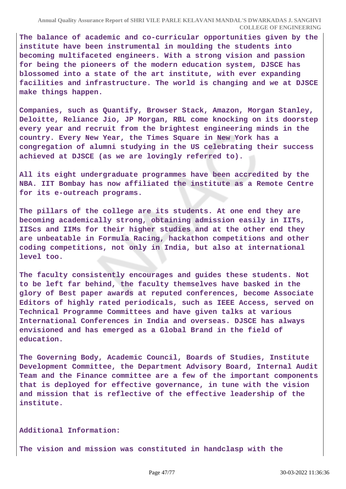**The balance of academic and co-curricular opportunities given by the institute have been instrumental in moulding the students into becoming multifaceted engineers. With a strong vision and passion for being the pioneers of the modern education system, DJSCE has blossomed into a state of the art institute, with ever expanding facilities and infrastructure. The world is changing and we at DJSCE make things happen.**

**Companies, such as Quantify, Browser Stack, Amazon, Morgan Stanley, Deloitte, Reliance Jio, JP Morgan, RBL come knocking on its doorstep every year and recruit from the brightest engineering minds in the country. Every New Year, the Times Square in New York has a congregation of alumni studying in the US celebrating their success achieved at DJSCE (as we are lovingly referred to).**

**All its eight undergraduate programmes have been accredited by the NBA. IIT Bombay has now affiliated the institute as a Remote Centre for its e-outreach programs.**

**The pillars of the college are its students. At one end they are becoming academically strong, obtaining admission easily in IITs, IIScs and IIMs for their higher studies and at the other end they are unbeatable in Formula Racing, hackathon competitions and other coding competitions, not only in India, but also at international level too.**

**The faculty consistently encourages and guides these students. Not to be left far behind, the faculty themselves have basked in the glory of Best paper awards at reputed conferences, become Associate Editors of highly rated periodicals, such as IEEE Access, served on Technical Programme Committees and have given talks at various International Conferences in India and overseas. DJSCE has always envisioned and has emerged as a Global Brand in the field of education.**

**The Governing Body, Academic Council, Boards of Studies, Institute Development Committee, the Department Advisory Board, Internal Audit Team and the Finance committee are a few of the important components that is deployed for effective governance, in tune with the vision and mission that is reflective of the effective leadership of the institute.**

**Additional Information:**

**The vision and mission was constituted in handclasp with the**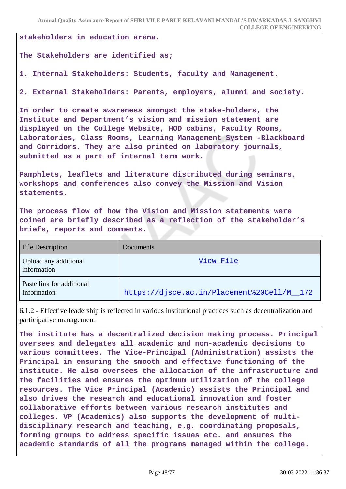**Annual Quality Assurance Report of SHRI VILE PARLE KELAVANI MANDAL'S DWARKADAS J. SANGHVI COLLEGE OF ENGINEERING**

**stakeholders in education arena.**

#### **The Stakeholders are identified as;**

**1. Internal Stakeholders: Students, faculty and Management.**

**2. External Stakeholders: Parents, employers, alumni and society.**

**In order to create awareness amongst the stake-holders, the Institute and Department's vision and mission statement are displayed on the College Website, HOD cabins, Faculty Rooms, Laboratories, Class Rooms, Learning Management System -Blackboard and Corridors. They are also printed on laboratory journals, submitted as a part of internal term work.**

**Pamphlets, leaflets and literature distributed during seminars, workshops and conferences also convey the Mission and Vision statements.**

**The process flow of how the Vision and Mission statements were coined are briefly described as a reflection of the stakeholder's briefs, reports and comments.**

| <b>File Description</b>                  | Documents                                  |
|------------------------------------------|--------------------------------------------|
| Upload any additional<br>information     | View File                                  |
| Paste link for additional<br>Information | https://disce.ac.in/Placement%20Cell/M 172 |

6.1.2 - Effective leadership is reflected in various institutional practices such as decentralization and participative management

**The institute has a decentralized decision making process. Principal oversees and delegates all academic and non-academic decisions to various committees. The Vice-Principal (Administration) assists the Principal in ensuring the smooth and effective functioning of the institute. He also oversees the allocation of the infrastructure and the facilities and ensures the optimum utilization of the college resources. The Vice Principal (Academic) assists the Principal and also drives the research and educational innovation and foster collaborative efforts between various research institutes and colleges. VP (Academics) also supports the development of multidisciplinary research and teaching, e.g. coordinating proposals, forming groups to address specific issues etc. and ensures the academic standards of all the programs managed within the college.**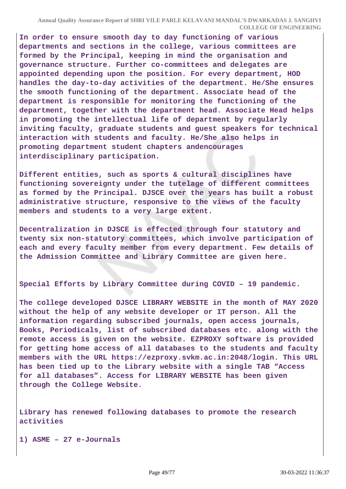**In order to ensure smooth day to day functioning of various departments and sections in the college, various committees are formed by the Principal, keeping in mind the organisation and governance structure. Further co-committees and delegates are appointed depending upon the position. For every department, HOD handles the day-to-day activities of the department. He/She ensures the smooth functioning of the department. Associate head of the department is responsible for monitoring the functioning of the department, together with the department head. Associate Head helps in promoting the intellectual life of department by regularly inviting faculty, graduate students and guest speakers for technical interaction with students and faculty. He/She also helps in promoting department student chapters andencourages interdisciplinary participation.**

**Different entities, such as sports & cultural disciplines have functioning sovereignty under the tutelage of different committees as formed by the Principal. DJSCE over the years has built a robust administrative structure, responsive to the views of the faculty members and students to a very large extent.**

**Decentralization in DJSCE is effected through four statutory and twenty six non-statutory committees, which involve participation of each and every faculty member from every department. Few details of the Admission Committee and Library Committee are given here.**

**Special Efforts by Library Committee during COVID – 19 pandemic.**

**The college developed DJSCE LIBRARY WEBSITE in the month of MAY 2020 without the help of any website developer or IT person. All the information regarding subscribed journals, open access journals, Books, Periodicals, list of subscribed databases etc. along with the remote access is given on the website. EZPROXY software is provided for getting home access of all databases to the students and faculty members with the URL https://ezproxy.svkm.ac.in:2048/login. This URL has been tied up to the Library website with a single TAB "Access for all databases". Access for LIBRARY WEBSITE has been given through the College Website.**

**Library has renewed following databases to promote the research activities** 

**1) ASME – 27 e-Journals**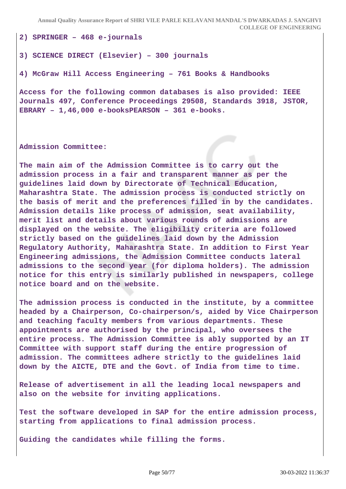**Annual Quality Assurance Report of SHRI VILE PARLE KELAVANI MANDAL'S DWARKADAS J. SANGHVI COLLEGE OF ENGINEERING**

**2) SPRINGER – 468 e-journals**

#### **3) SCIENCE DIRECT (Elsevier) – 300 journals**

#### **4) McGraw Hill Access Engineering – 761 Books & Handbooks**

**Access for the following common databases is also provided: IEEE Journals 497, Conference Proceedings 29508, Standards 3918, JSTOR, EBRARY – 1,46,000 e-booksPEARSON – 361 e-books.**

**Admission Committee:**

**The main aim of the Admission Committee is to carry out the admission process in a fair and transparent manner as per the guidelines laid down by Directorate of Technical Education, Maharashtra State. The admission process is conducted strictly on the basis of merit and the preferences filled in by the candidates. Admission details like process of admission, seat availability, merit list and details about various rounds of admissions are displayed on the website. The eligibility criteria are followed strictly based on the guidelines laid down by the Admission Regulatory Authority, Maharashtra State. In addition to First Year Engineering admissions, the Admission Committee conducts lateral admissions to the second year (for diploma holders). The admission notice for this entry is similarly published in newspapers, college notice board and on the website.**

**The admission process is conducted in the institute, by a committee headed by a Chairperson, Co-chairperson/s, aided by Vice Chairperson and teaching faculty members from various departments. These appointments are authorised by the principal, who oversees the entire process. The Admission Committee is ably supported by an IT Committee with support staff during the entire progression of admission. The committees adhere strictly to the guidelines laid down by the AICTE, DTE and the Govt. of India from time to time.**

**Release of advertisement in all the leading local newspapers and also on the website for inviting applications.**

**Test the software developed in SAP for the entire admission process, starting from applications to final admission process.**

**Guiding the candidates while filling the forms.**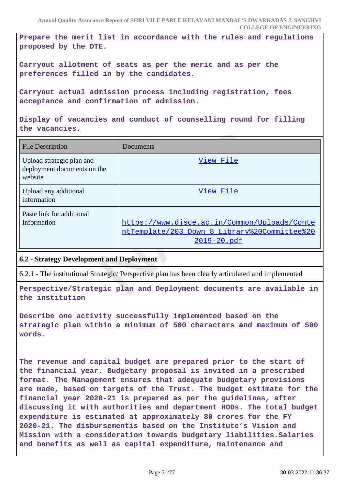**Annual Quality Assurance Report of SHRI VILE PARLE KELAVANI MANDAL'S DWARKADAS J. SANGHVI COLLEGE OF ENGINEERING**

**Prepare the merit list in accordance with the rules and regulations proposed by the DTE.**

**Carryout allotment of seats as per the merit and as per the preferences filled in by the candidates.**

**Carryout actual admission process including registration, fees acceptance and confirmation of admission.**

**Display of vacancies and conduct of counselling round for filling the vacancies.**

| <b>File Description</b>                                             | Documents                                                                                                   |
|---------------------------------------------------------------------|-------------------------------------------------------------------------------------------------------------|
| Upload strategic plan and<br>deployment documents on the<br>website | View File                                                                                                   |
| Upload any additional<br>information                                | View File                                                                                                   |
| Paste link for additional<br>Information                            | https://www.djsce.ac.in/Common/Uploads/Conte<br>ntTemplate/203 Down 8 Library%20Committee%20<br>2019-20.pdf |

#### **6.2 - Strategy Development and Deployment**

6.2.1 - The institutional Strategic/ Perspective plan has been clearly articulated and implemented

**Perspective/Strategic plan and Deployment documents are available in the institution** 

**Describe one activity successfully implemented based on the strategic plan within a minimum of 500 characters and maximum of 500 words.**

**The revenue and capital budget are prepared prior to the start of the financial year. Budgetary proposal is invited in a prescribed format. The Management ensures that adequate budgetary provisions are made, based on targets of the Trust. The budget estimate for the financial year 2020-21 is prepared as per the guidelines, after discussing it with authorities and department HODs. The total budget expenditure is estimated at approximately 80 crores for the FY 2020-21. The disbursementis based on the Institute's Vision and Mission with a consideration towards budgetary liabilities.Salaries and benefits as well as capital expenditure, maintenance and**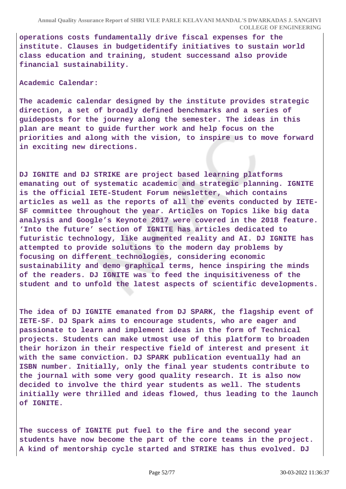**operations costs fundamentally drive fiscal expenses for the institute. Clauses in budgetidentify initiatives to sustain world class education and training, student successand also provide financial sustainability.**

**Academic Calendar:**

**The academic calendar designed by the institute provides strategic direction, a set of broadly defined benchmarks and a series of guideposts for the journey along the semester. The ideas in this plan are meant to guide further work and help focus on the priorities and along with the vision, to inspire us to move forward in exciting new directions.**

**DJ IGNITE and DJ STRIKE are project based learning platforms emanating out of systematic academic and strategic planning. IGNITE is the official IETE-Student Forum newsletter, which contains articles as well as the reports of all the events conducted by IETE-SF committee throughout the year. Articles on Topics like big data analysis and Google's Keynote 2017 were covered in the 2018 feature. 'Into the future' section of IGNITE has articles dedicated to futuristic technology, like augmented reality and AI. DJ IGNITE has attempted to provide solutions to the modern day problems by focusing on different technologies, considering economic sustainability and demo graphical terms, hence inspiring the minds of the readers. DJ IGNITE was to feed the inquisitiveness of the student and to unfold the latest aspects of scientific developments.**

**The idea of DJ IGNITE emanated from DJ SPARK, the flagship event of IETE-SF. DJ Spark aims to encourage students, who are eager and passionate to learn and implement ideas in the form of Technical projects. Students can make utmost use of this platform to broaden their horizon in their respective field of interest and present it with the same conviction. DJ SPARK publication eventually had an ISBN number. Initially, only the final year students contribute to the journal with some very good quality research. It is also now decided to involve the third year students as well. The students initially were thrilled and ideas flowed, thus leading to the launch of IGNITE.**

**The success of IGNITE put fuel to the fire and the second year students have now become the part of the core teams in the project. A kind of mentorship cycle started and STRIKE has thus evolved. DJ**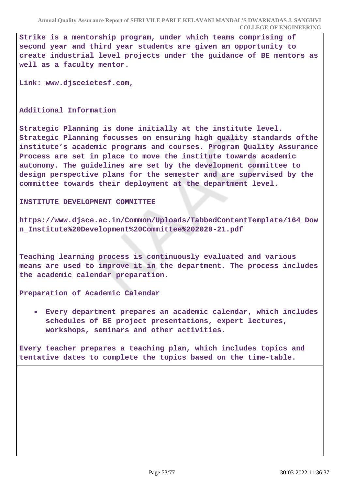**Strike is a mentorship program, under which teams comprising of second year and third year students are given an opportunity to create industrial level projects under the guidance of BE mentors as well as a faculty mentor.**

**Link: www.djsceietesf.com,**

**Additional Information**

**Strategic Planning is done initially at the institute level. Strategic Planning focusses on ensuring high quality standards ofthe institute's academic programs and courses. Program Quality Assurance Process are set in place to move the institute towards academic autonomy. The guidelines are set by the development committee to design perspective plans for the semester and are supervised by the committee towards their deployment at the department level.**

**INSTITUTE DEVELOPMENT COMMITTEE**

**https://www.djsce.ac.in/Common/Uploads/TabbedContentTemplate/164\_Dow n\_Institute%20Development%20Committee%202020-21.pdf**

**Teaching learning process is continuously evaluated and various means are used to improve it in the department. The process includes the academic calendar preparation.**

**Preparation of Academic Calendar**

**Every department prepares an academic calendar, which includes schedules of BE project presentations, expert lectures, workshops, seminars and other activities.**

**Every teacher prepares a teaching plan, which includes topics and tentative dates to complete the topics based on the time-table.**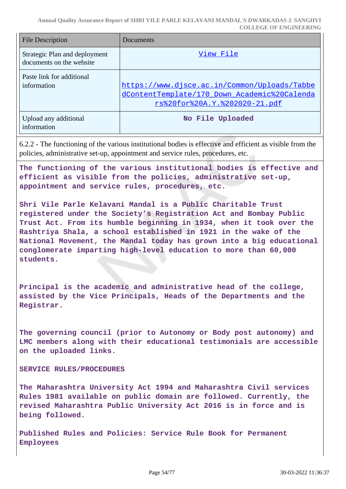**Annual Quality Assurance Report of SHRI VILE PARLE KELAVANI MANDAL'S DWARKADAS J. SANGHVI COLLEGE OF ENGINEERING**

| <b>File Description</b>                                   | Documents                                                                                                                     |
|-----------------------------------------------------------|-------------------------------------------------------------------------------------------------------------------------------|
| Strategic Plan and deployment<br>documents on the website | View File                                                                                                                     |
| Paste link for additional<br>information                  | https://www.djsce.ac.in/Common/Uploads/Tabbe<br>dContentTemplate/170 Down Academic%20Calenda<br>rs%20for%20A.Y.%202020-21.pdf |
| Upload any additional<br>information                      | No File Uploaded                                                                                                              |

6.2.2 - The functioning of the various institutional bodies is effective and efficient as visible from the policies, administrative set-up, appointment and service rules, procedures, etc.

**The functioning of the various institutional bodies is effective and efficient as visible from the policies, administrative set-up, appointment and service rules, procedures, etc.**

**Shri Vile Parle Kelavani Mandal is a Public Charitable Trust registered under the Society's Registration Act and Bombay Public Trust Act. From its humble beginning in 1934, when it took over the Rashtriya Shala, a school established in 1921 in the wake of the National Movement, the Mandal today has grown into a big educational conglomerate imparting high-level education to more than 60,000 students.**

**Principal is the academic and administrative head of the college, assisted by the Vice Principals, Heads of the Departments and the Registrar.**

**The governing council (prior to Autonomy or Body post autonomy) and LMC members along with their educational testimonials are accessible on the uploaded links.**

**SERVICE RULES/PROCEDURES** 

**The Maharashtra University Act 1994 and Maharashtra Civil services Rules 1981 available on public domain are followed. Currently, the revised Maharashtra Public University Act 2016 is in force and is being followed.**

**Published Rules and Policies: Service Rule Book for Permanent Employees**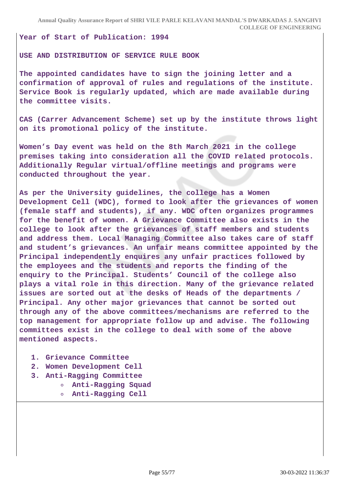#### **Year of Start of Publication: 1994**

#### **USE AND DISTRIBUTION OF SERVICE RULE BOOK**

**The appointed candidates have to sign the joining letter and a confirmation of approval of rules and regulations of the institute. Service Book is regularly updated, which are made available during the committee visits.**

**CAS (Carrer Advancement Scheme) set up by the institute throws light on its promotional policy of the institute.**

**Women's Day event was held on the 8th March 2021 in the college premises taking into consideration all the COVID related protocols. Additionally Regular virtual/offline meetings and programs were conducted throughout the year.**

**As per the University guidelines, the college has a Women Development Cell (WDC), formed to look after the grievances of women (female staff and students), if any. WDC often organizes programmes for the benefit of women. A Grievance Committee also exists in the college to look after the grievances of staff members and students and address them. Local Managing Committee also takes care of staff and student's grievances. An unfair means committee appointed by the Principal independently enquires any unfair practices followed by the employees and the students and reports the finding of the enquiry to the Principal. Students' Council of the college also plays a vital role in this direction. Many of the grievance related issues are sorted out at the desks of Heads of the departments / Principal. Any other major grievances that cannot be sorted out through any of the above committees/mechanisms are referred to the top management for appropriate follow up and advise. The following committees exist in the college to deal with some of the above mentioned aspects.**

- **1. Grievance Committee**
- **2. Women Development Cell**
- **3. Anti-Ragging Committee**
	- **Anti-Ragging Squad**
		- **Anti-Ragging Cell**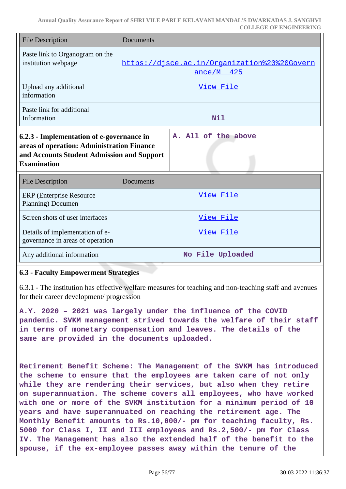**Annual Quality Assurance Report of SHRI VILE PARLE KELAVANI MANDAL'S DWARKADAS J. SANGHVI COLLEGE OF ENGINEERING**

| <b>File Description</b>                                                                                                                                                            | Documents                                                    |  |
|------------------------------------------------------------------------------------------------------------------------------------------------------------------------------------|--------------------------------------------------------------|--|
| Paste link to Organogram on the<br>institution webpage                                                                                                                             | https://disce.ac.in/Organization%20%20Govern<br>$ance/M$ 425 |  |
| Upload any additional<br>information                                                                                                                                               | View File                                                    |  |
| Paste link for additional<br>Information                                                                                                                                           | Nil                                                          |  |
| A. All of the above<br>6.2.3 - Implementation of e-governance in<br>areas of operation: Administration Finance<br>and Accounts Student Admission and Support<br><b>Examination</b> |                                                              |  |
| <b>File Description</b>                                                                                                                                                            | Documents                                                    |  |
| <b>ERP</b> (Enterprise Resource)<br>Planning) Documen                                                                                                                              | View File                                                    |  |
| Screen shots of user interfaces                                                                                                                                                    | View File                                                    |  |
| Details of implementation of e-<br>governance in areas of operation                                                                                                                | View File                                                    |  |
| Any additional information                                                                                                                                                         | No File Uploaded                                             |  |

#### **6.3 - Faculty Empowerment Strategies**

6.3.1 - The institution has effective welfare measures for teaching and non-teaching staff and avenues for their career development/ progression

**A.Y. 2020 – 2021 was largely under the influence of the COVID pandemic. SVKM management strived towards the welfare of their staff in terms of monetary compensation and leaves. The details of the same are provided in the documents uploaded.**

**Retirement Benefit Scheme: The Management of the SVKM has introduced the scheme to ensure that the employees are taken care of not only while they are rendering their services, but also when they retire on superannuation. The scheme covers all employees, who have worked with one or more of the SVKM institution for a minimum period of 10 years and have superannuated on reaching the retirement age. The Monthly Benefit amounts to Rs.10,000/- pm for teaching faculty, Rs. 5000 for Class I, II and III employees and Rs.2,500/- pm for Class IV. The Management has also the extended half of the benefit to the spouse, if the ex-employee passes away within the tenure of the**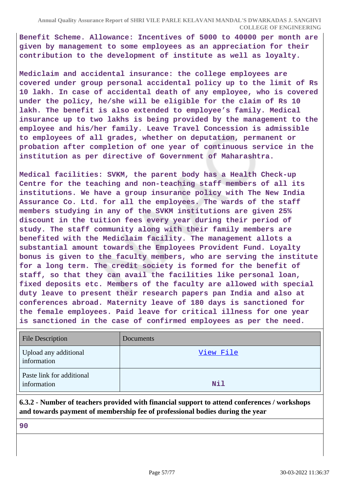**Benefit Scheme. Allowance: Incentives of 5000 to 40000 per month are given by management to some employees as an appreciation for their contribution to the development of institute as well as loyalty.**

**Mediclaim and accidental insurance: the college employees are covered under group personal accidental policy up to the limit of Rs 10 lakh. In case of accidental death of any employee, who is covered under the policy, he/she will be eligible for the claim of Rs 10 lakh. The benefit is also extended to employee's family. Medical insurance up to two lakhs is being provided by the management to the employee and his/her family. Leave Travel Concession is admissible to employees of all grades, whether on deputation, permanent or probation after completion of one year of continuous service in the institution as per directive of Government of Maharashtra.**

**Medical facilities: SVKM, the parent body has a Health Check-up Centre for the teaching and non-teaching staff members of all its institutions. We have a group insurance policy with The New India Assurance Co. Ltd. for all the employees. The wards of the staff members studying in any of the SVKM institutions are given 25% discount in the tuition fees every year during their period of study. The staff community along with their family members are benefited with the Mediclaim facility. The management allots a substantial amount towards the Employees Provident Fund. Loyalty bonus is given to the faculty members, who are serving the institute for a long term. The credit society is formed for the benefit of staff, so that they can avail the facilities like personal loan, fixed deposits etc. Members of the faculty are allowed with special duty leave to present their research papers pan India and also at conferences abroad. Maternity leave of 180 days is sanctioned for the female employees. Paid leave for critical illness for one year is sanctioned in the case of confirmed employees as per the need.**

| <b>File Description</b>                  | Documents |
|------------------------------------------|-----------|
| Upload any additional<br>information     | View File |
| Paste link for additional<br>information | Nil       |

**6.3.2 - Number of teachers provided with financial support to attend conferences / workshops and towards payment of membership fee of professional bodies during the year**

**90**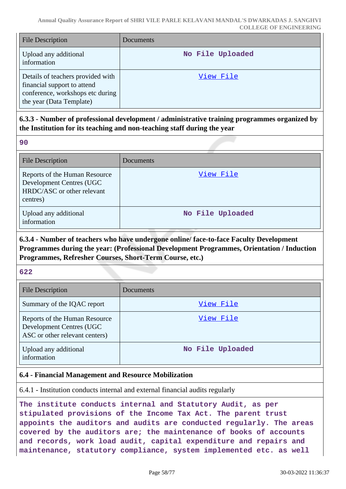| <b>File Description</b>                                                                                                          | <b>Documents</b> |
|----------------------------------------------------------------------------------------------------------------------------------|------------------|
| Upload any additional<br>information                                                                                             | No File Uploaded |
| Details of teachers provided with<br>financial support to attend<br>conference, workshops etc during<br>the year (Data Template) | View File        |

# **6.3.3 - Number of professional development / administrative training programmes organized by the Institution for its teaching and non-teaching staff during the year**

| u.            | w      |
|---------------|--------|
|               |        |
| ×             |        |
| I<br>۰,<br>۰. | I<br>w |
|               |        |

| <b>File Description</b>                                                                             | Documents        |
|-----------------------------------------------------------------------------------------------------|------------------|
| Reports of the Human Resource<br>Development Centres (UGC<br>HRDC/ASC or other relevant<br>centres) | View File        |
| Upload any additional<br>information                                                                | No File Uploaded |

# **6.3.4 - Number of teachers who have undergone online/ face-to-face Faculty Development Programmes during the year: (Professional Development Programmes, Orientation / Induction Programmes, Refresher Courses, Short-Term Course, etc.)**

### **622**

| <b>File Description</b>                                                                     | Documents        |
|---------------------------------------------------------------------------------------------|------------------|
| Summary of the IQAC report                                                                  | View File        |
| Reports of the Human Resource<br>Development Centres (UGC<br>ASC or other relevant centers) | View File        |
| Upload any additional<br>information                                                        | No File Uploaded |

# **6.4 - Financial Management and Resource Mobilization**

6.4.1 - Institution conducts internal and external financial audits regularly

**The institute conducts internal and Statutory Audit, as per stipulated provisions of the Income Tax Act. The parent trust appoints the auditors and audits are conducted regularly. The areas covered by the auditors are; the maintenance of books of accounts and records, work load audit, capital expenditure and repairs and maintenance, statutory compliance, system implemented etc. as well**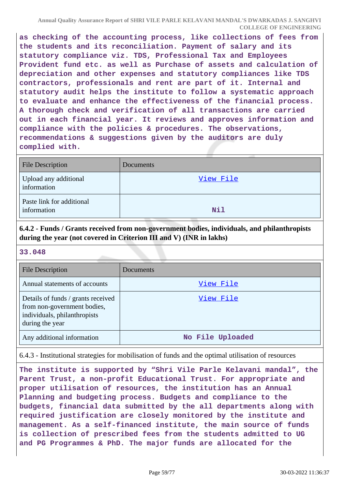**as checking of the accounting process, like collections of fees from the students and its reconciliation. Payment of salary and its statutory compliance viz. TDS, Professional Tax and Employees Provident fund etc. as well as Purchase of assets and calculation of depreciation and other expenses and statutory compliances like TDS contractors, professionals and rent are part of it. Internal and statutory audit helps the institute to follow a systematic approach to evaluate and enhance the effectiveness of the financial process. A thorough check and verification of all transactions are carried out in each financial year. It reviews and approves information and compliance with the policies & procedures. The observations, recommendations & suggestions given by the auditors are duly complied with.**

| File Description                         | Documents  |
|------------------------------------------|------------|
| Upload any additional<br>information     | View File  |
| Paste link for additional<br>information | <b>Nil</b> |

**6.4.2 - Funds / Grants received from non-government bodies, individuals, and philanthropists during the year (not covered in Criterion III and V) (INR in lakhs)**

**33.048**

| <b>File Description</b>                                                                                              | Documents        |
|----------------------------------------------------------------------------------------------------------------------|------------------|
| Annual statements of accounts                                                                                        | View File        |
| Details of funds / grants received<br>from non-government bodies,<br>individuals, philanthropists<br>during the year | View File        |
| Any additional information                                                                                           | No File Uploaded |

6.4.3 - Institutional strategies for mobilisation of funds and the optimal utilisation of resources

**The institute is supported by "Shri Vile Parle Kelavani mandal", the Parent Trust, a non-profit Educational Trust. For appropriate and proper utilisation of resources, the institution has an Annual Planning and budgeting process. Budgets and compliance to the budgets, financial data submitted by the all departments along with required justification are closely monitored by the institute and management. As a self-financed institute, the main source of funds is collection of prescribed fees from the students admitted to UG and PG Programmes & PhD. The major funds are allocated for the**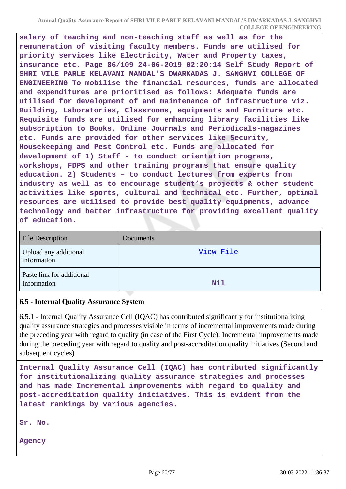**salary of teaching and non-teaching staff as well as for the remuneration of visiting faculty members. Funds are utilised for priority services like Electricity, Water and Property taxes, insurance etc. Page 86/109 24-06-2019 02:20:14 Self Study Report of SHRI VILE PARLE KELAVANI MANDAL'S DWARKADAS J. SANGHVI COLLEGE OF ENGINEERING To mobilise the financial resources, funds are allocated and expenditures are prioritised as follows: Adequate funds are utilised for development of and maintenance of infrastructure viz. Building, Laboratories, Classrooms, equipments and Furniture etc. Requisite funds are utilised for enhancing library facilities like subscription to Books, Online Journals and Periodicals-magazines etc. Funds are provided for other services like Security, Housekeeping and Pest Control etc. Funds are allocated for development of 1) Staff - to conduct orientation programs, workshops, FDPS and other training programs that ensure quality education. 2) Students – to conduct lectures from experts from industry as well as to encourage student's projects & other student activities like sports, cultural and technical etc. Further, optimal resources are utilised to provide best quality equipments, advance technology and better infrastructure for providing excellent quality of education.**

| <b>File Description</b>                  | Documents  |
|------------------------------------------|------------|
| Upload any additional<br>information     | View File  |
| Paste link for additional<br>Information | <b>Nil</b> |

#### **6.5 - Internal Quality Assurance System**

6.5.1 - Internal Quality Assurance Cell (IQAC) has contributed significantly for institutionalizing quality assurance strategies and processes visible in terms of incremental improvements made during the preceding year with regard to quality (in case of the First Cycle): Incremental improvements made during the preceding year with regard to quality and post-accreditation quality initiatives (Second and subsequent cycles)

**Internal Quality Assurance Cell (IQAC) has contributed significantly for institutionalizing quality assurance strategies and processes and has made Incremental improvements with regard to quality and post-accreditation quality initiatives. This is evident from the latest rankings by various agencies.**

**Sr. No.**

**Agency**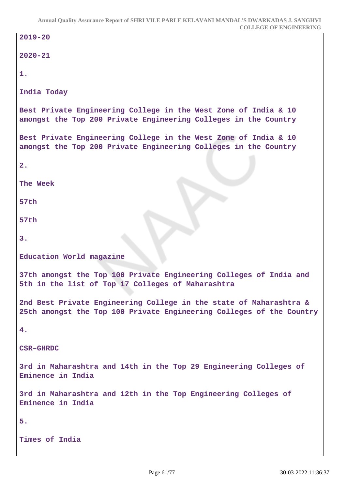```
2019-20
2020-21
1.
India Today
Best Private Engineering College in the West Zone of India & 10
amongst the Top 200 Private Engineering Colleges in the Country
Best Private Engineering College in the West Zone of India & 10
amongst the Top 200 Private Engineering Colleges in the Country
2.
The Week
57th
57th
3.
Education World magazine
37th amongst the Top 100 Private Engineering Colleges of India and
5th in the list of Top 17 Colleges of Maharashtra
2nd Best Private Engineering College in the state of Maharashtra &
25th amongst the Top 100 Private Engineering Colleges of the Country
4.
CSR–GHRDC
3rd in Maharashtra and 14th in the Top 29 Engineering Colleges of
Eminence in India
3rd in Maharashtra and 12th in the Top Engineering Colleges of
Eminence in India
5.
Times of India
```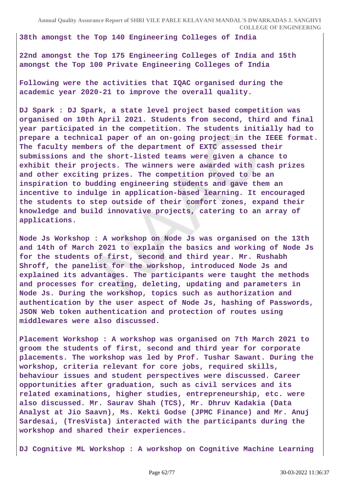**38th amongst the Top 140 Engineering Colleges of India**

**22nd amongst the Top 175 Engineering Colleges of India and 15th amongst the Top 100 Private Engineering Colleges of India**

**Following were the activities that IQAC organised during the academic year 2020-21 to improve the overall quality.**

**DJ Spark : DJ Spark, a state level project based competition was organised on 10th April 2021. Students from second, third and final year participated in the competition. The students initially had to prepare a technical paper of an on-going project in the IEEE format. The faculty members of the department of EXTC assessed their submissions and the short-listed teams were given a chance to exhibit their projects. The winners were awarded with cash prizes and other exciting prizes. The competition proved to be an inspiration to budding engineering students and gave them an incentive to indulge in application-based learning. It encouraged the students to step outside of their comfort zones, expand their knowledge and build innovative projects, catering to an array of applications.**

**Node Js Workshop : A workshop on Node Js was organised on the 13th and 14th of March 2021 to explain the basics and working of Node Js for the students of first, second and third year. Mr. Rushabh Shroff, the panelist for the workshop, introduced Node Js and explained its advantages. The participants were taught the methods and processes for creating, deleting, updating and parameters in Node Js. During the workshop, topics such as authorization and authentication by the user aspect of Node Js, hashing of Passwords, JSON Web token authentication and protection of routes using middlewares were also discussed.**

**Placement Workshop : A workshop was organised on 7th March 2021 to groom the students of first, second and third year for corporate placements. The workshop was led by Prof. Tushar Sawant. During the workshop, criteria relevant for core jobs, required skills, behaviour issues and student perspectives were discussed. Career opportunities after graduation, such as civil services and its related examinations, higher studies, entrepreneurship, etc. were also discussed. Mr. Saurav Shah (TCS), Mr. Dhruv Kadakia (Data Analyst at Jio Saavn), Ms. Kekti Godse (JPMC Finance) and Mr. Anuj Sardesai, (TresVista) interacted with the participants during the workshop and shared their experiences.**

**DJ Cognitive ML Workshop : A workshop on Cognitive Machine Learning**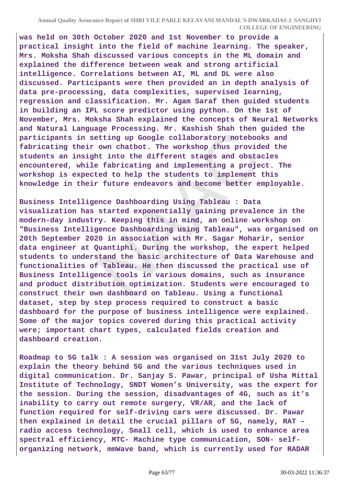**was held on 30th October 2020 and 1st November to provide a practical insight into the field of machine learning. The speaker, Mrs. Moksha Shah discussed various concepts in the ML domain and explained the difference between weak and strong artificial intelligence. Correlations between AI, ML and DL were also discussed. Participants were then provided an in depth analysis of data pre-processing, data complexities, supervised learning, regression and classification. Mr. Agam Saraf then guided students in building an IPL score predictor using python. On the 1st of November, Mrs. Moksha Shah explained the concepts of Neural Networks and Natural Language Processing. Mr. Kashish Shah then guided the participants in setting up Google collaboratory notebooks and fabricating their own chatbot. The workshop thus provided the students an insight into the different stages and obstacles encountered, while fabricating and implementing a project. The workshop is expected to help the students to implement this knowledge in their future endeavors and become better employable.**

**Business Intelligence Dashboarding Using Tableau : Data visualization has started exponentially gaining prevalence in the modern-day industry. Keeping this in mind, an online workshop on "Business Intelligence Dashboarding using Tableau", was organised on 20th September 2020 in association with Mr. Sagar Moharir, senior data engineer at Quantiphi. During the workshop, the expert helped students to understand the basic architecture of Data Warehouse and functionalities of Tableau. He then discussed the practical use of Business Intelligence tools in various domains, such as insurance and product distribution optimization. Students were encouraged to construct their own dashboard on Tableau. Using a functional dataset, step by step process required to construct a basic dashboard for the purpose of business intelligence were explained. Some of the major topics covered during this practical activity were; important chart types, calculated fields creation and dashboard creation.**

**Roadmap to 5G talk : A session was organised on 31st July 2020 to explain the theory behind 5G and the various techniques used in digital communication. Dr. Sanjay S. Pawar, principal of Usha Mittal Institute of Technology, SNDT Women's University, was the expert for the session. During the session, disadvantages of 4G, such as it's inability to carry out remote surgery, VR/AR, and the lack of function required for self-driving cars were discussed. Dr. Pawar then explained in detail the crucial pillars of 5G, namely, RAT – radio access technology, Small cell, which is used to enhance area spectral efficiency, MTC- Machine type communication, SON- selforganizing network, mmWave band, which is currently used for RADAR**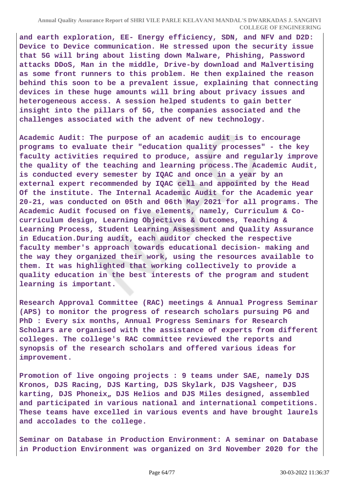**and earth exploration, EE- Energy efficiency, SDN, and NFV and D2D: Device to Device communication. He stressed upon the security issue that 5G will bring about listing down Malware, Phishing, Password attacks DDoS, Man in the middle, Drive-by download and Malvertising as some front runners to this problem. He then explained the reason behind this soon to be a prevalent issue, explaining that connecting devices in these huge amounts will bring about privacy issues and heterogeneous access. A session helped students to gain better insight into the pillars of 5G, the companies associated and the challenges associated with the advent of new technology.**

**Academic Audit: The purpose of an academic audit is to encourage programs to evaluate their "education quality processes" - the key faculty activities required to produce, assure and regularly improve the quality of the teaching and learning process.The Academic Audit, is conducted every semester by IQAC and once in a year by an external expert recommended by IQAC cell and appointed by the Head Of the institute. The Internal Academic Audit for the Academic year 20-21, was conducted on 05th and 06th May 2021 for all programs. The Academic Audit focused on five elements, namely, Curriculum & Cocurriculum design, Learning Objectives & Outcomes, Teaching & Learning Process, Student Learning Assessment and Quality Assurance in Education.During audit, each auditor checked the respective faculty member's approach towards educational decision- making and the way they organized their work, using the resources available to them. It was highlighted that working collectively to provide a quality education in the best interests of the program and student learning is important.**

**Research Approval Committee (RAC) meetings & Annual Progress Seminar (APS) to monitor the progress of research scholars pursuing PG and PhD : Every six months, Annual Progress Seminars for Research Scholars are organised with the assistance of experts from different colleges. The college's RAC committee reviewed the reports and synopsis of the research scholars and offered various ideas for improvement.**

**Promotion of live ongoing projects : 9 teams under SAE, namely DJS Kronos, DJS Racing, DJS Karting, DJS Skylark, DJS Vagsheer, DJS karting, DJS Phoneix" DJS Helios and DJS Miles designed, assembled and participated in various national and international competitions. These teams have excelled in various events and have brought laurels and accolades to the college.**

**Seminar on Database in Production Environment: A seminar on Database in Production Environment was organized on 3rd November 2020 for the**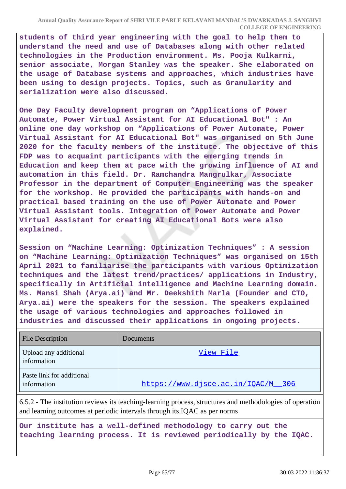**students of third year engineering with the goal to help them to understand the need and use of Databases along with other related technologies in the Production environment. Ms. Pooja Kulkarni, senior associate, Morgan Stanley was the speaker. She elaborated on the usage of Database systems and approaches, which industries have been using to design projects. Topics, such as Granularity and serialization were also discussed.**

**One Day Faculty development program on "Applications of Power Automate, Power Virtual Assistant for AI Educational Bot" : An online one day workshop on "Applications of Power Automate, Power Virtual Assistant for AI Educational Bot" was organised on 5th June 2020 for the faculty members of the institute. The objective of this FDP was to acquaint participants with the emerging trends in Education and keep them at pace with the growing influence of AI and automation in this field. Dr. Ramchandra Mangrulkar, Associate Professor in the department of Computer Engineering was the speaker for the workshop. He provided the participants with hands-on and practical based training on the use of Power Automate and Power Virtual Assistant tools. Integration of Power Automate and Power Virtual Assistant for creating AI Educational Bots were also explained.**

**Session on "Machine Learning: Optimization Techniques" : A session on "Machine Learning: Optimization Techniques" was organised on 15th April 2021 to familiarise the participants with various Optimization techniques and the latest trend/practices/ applications in Industry, specifically in Artificial intelligence and Machine Learning domain. Ms. Mansi Shah (Arya.ai) and Mr. Deekshith Marla (Founder and CTO, Arya.ai) were the speakers for the session. The speakers explained the usage of various technologies and approaches followed in industries and discussed their applications in ongoing projects.**

| <b>File Description</b>                  | Documents                          |
|------------------------------------------|------------------------------------|
| Upload any additional<br>information     | View File                          |
| Paste link for additional<br>information | https://www.djsce.ac.in/IQAC/M 306 |

6.5.2 - The institution reviews its teaching-learning process, structures and methodologies of operation and learning outcomes at periodic intervals through its IQAC as per norms

**Our institute has a well-defined methodology to carry out the teaching learning process. It is reviewed periodically by the IQAC.**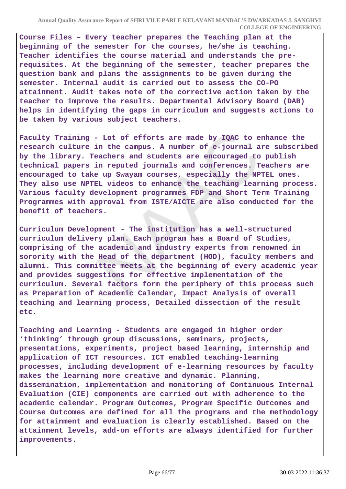**Course Files – Every teacher prepares the Teaching plan at the beginning of the semester for the courses, he/she is teaching. Teacher identifies the course material and understands the prerequisites. At the beginning of the semester, teacher prepares the question bank and plans the assignments to be given during the semester. Internal audit is carried out to assess the CO-PO attainment. Audit takes note of the corrective action taken by the teacher to improve the results. Departmental Advisory Board (DAB) helps in identifying the gaps in curriculum and suggests actions to be taken by various subject teachers.**

**Faculty Training - Lot of efforts are made by IQAC to enhance the research culture in the campus. A number of e-journal are subscribed by the library. Teachers and students are encouraged to publish technical papers in reputed journals and conferences. Teachers are encouraged to take up Swayam courses, especially the NPTEL ones. They also use NPTEL videos to enhance the teaching learning process. Various faculty development programmes FDP and Short Term Training Programmes with approval from ISTE/AICTE are also conducted for the benefit of teachers.**

**Curriculum Development - The institution has a well-structured curriculum delivery plan. Each program has a Board of Studies, comprising of the academic and industry experts from renowned in sorority with the Head of the department (HOD), faculty members and alumni. This committee meets at the beginning of every academic year and provides suggestions for effective implementation of the curriculum. Several factors form the periphery of this process such as Preparation of Academic Calendar, Impact Analysis of overall teaching and learning process, Detailed dissection of the result etc.**

**Teaching and Learning - Students are engaged in higher order 'thinking' through group discussions, seminars, projects, presentations, experiments, project based learning, internship and application of ICT resources. ICT enabled teaching-learning processes, including development of e-learning resources by faculty makes the learning more creative and dynamic. Planning, dissemination, implementation and monitoring of Continuous Internal Evaluation (CIE) components are carried out with adherence to the academic calendar. Program Outcomes, Program Specific Outcomes and Course Outcomes are defined for all the programs and the methodology for attainment and evaluation is clearly established. Based on the attainment levels, add-on efforts are always identified for further improvements.**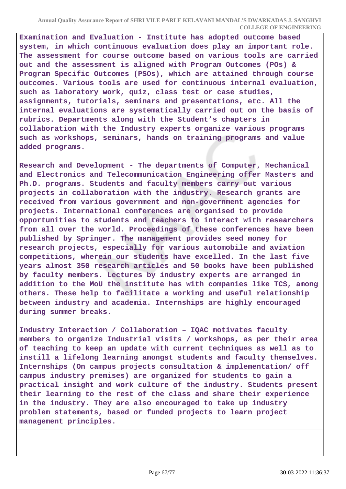**Examination and Evaluation - Institute has adopted outcome based system, in which continuous evaluation does play an important role. The assessment for course outcome based on various tools are carried out and the assessment is aligned with Program Outcomes (POs) & Program Specific Outcomes (PSOs), which are attained through course outcomes. Various tools are used for continuous internal evaluation, such as laboratory work, quiz, class test or case studies, assignments, tutorials, seminars and presentations, etc. All the internal evaluations are systematically carried out on the basis of rubrics. Departments along with the Student's chapters in collaboration with the Industry experts organize various programs such as workshops, seminars, hands on training programs and value added programs.**

**Research and Development - The departments of Computer, Mechanical and Electronics and Telecommunication Engineering offer Masters and Ph.D. programs. Students and faculty members carry out various projects in collaboration with the industry. Research grants are received from various government and non-government agencies for projects. International conferences are organised to provide opportunities to students and teachers to interact with researchers from all over the world. Proceedings of these conferences have been published by Springer. The management provides seed money for research projects, especially for various automobile and aviation competitions, wherein our students have excelled. In the last five years almost 350 research articles and 50 books have been published by faculty members. Lectures by industry experts are arranged in addition to the MoU the institute has with companies like TCS, among others. These help to facilitate a working and useful relationship between industry and academia. Internships are highly encouraged during summer breaks.**

**Industry Interaction / Collaboration – IQAC motivates faculty members to organize Industrial visits / workshops, as per their area of teaching to keep an update with current techniques as well as to instill a lifelong learning amongst students and faculty themselves. Internships (On campus projects consultation & implementation/ off campus industry premises) are organized for students to gain a practical insight and work culture of the industry. Students present their learning to the rest of the class and share their experience in the industry. They are also encouraged to take up industry problem statements, based or funded projects to learn project management principles.**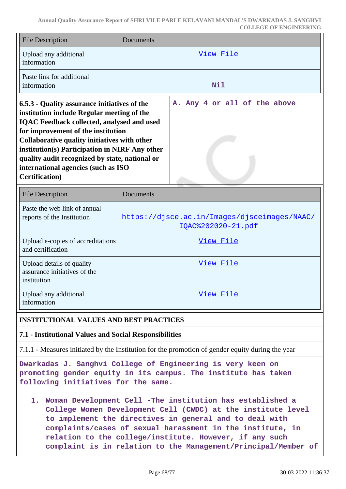| <b>File Description</b>                      | Documents                    |
|----------------------------------------------|------------------------------|
| Upload any additional<br>information         | View File                    |
| Paste link for additional<br>information     | Nil                          |
| 6.5.3 - Quality assurance initiatives of the | A. Any 4 or all of the above |

**6.5.3 - Quality assurance initiatives of the institution include Regular meeting of the IQAC Feedback collected, analysed and used for improvement of the institution Collaborative quality initiatives with other institution(s) Participation in NIRF Any other quality audit recognized by state, national or international agencies (such as ISO Certification)**

| <b>File Description</b>                                                  | Documents                                                                 |
|--------------------------------------------------------------------------|---------------------------------------------------------------------------|
| Paste the web link of annual<br>reports of the Institution               | https://disce.ac.in/Images/disceimages/NAAC/<br><u>IOAC%202020-21.pdf</u> |
| Upload e-copies of accreditations<br>and certification                   | View File                                                                 |
| Upload details of quality<br>assurance initiatives of the<br>institution | View File                                                                 |
| Upload any additional<br>information                                     | View File                                                                 |

# **INSTITUTIONAL VALUES AND BEST PRACTICES**

### **7.1 - Institutional Values and Social Responsibilities**

7.1.1 - Measures initiated by the Institution for the promotion of gender equity during the year

**Dwarkadas J. Sanghvi College of Engineering is very keen on promoting gender equity in its campus. The institute has taken following initiatives for the same.**

**1. Woman Development Cell -The institution has established a College Women Development Cell (CWDC) at the institute level to implement the directives in general and to deal with complaints/cases of sexual harassment in the institute, in relation to the college/institute. However, if any such complaint is in relation to the Management/Principal/Member of**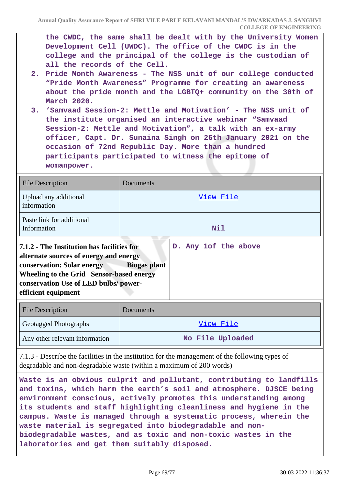**the CWDC, the same shall be dealt with by the University Women Development Cell (UWDC). The office of the CWDC is in the college and the principal of the college is the custodian of all the records of the Cell.**

- **2. Pride Month Awareness The NSS unit of our college conducted "Pride Month Awareness" Programme for creating an awareness about the pride month and the LGBTQ+ community on the 30th of March 2020.**
- **3. 'Samvaad Session-2: Mettle and Motivation' The NSS unit of the institute organised an interactive webinar "Samvaad Session-2: Mettle and Motivation", a talk with an ex-army officer, Capt. Dr. Sunaina Singh on 26th January 2021 on the occasion of 72nd Republic Day. More than a hundred participants participated to witness the epitome of womanpower.**

| <b>File Description</b>                                                                                                                                                                                                              | Documents                                   |
|--------------------------------------------------------------------------------------------------------------------------------------------------------------------------------------------------------------------------------------|---------------------------------------------|
| Upload any additional<br>information                                                                                                                                                                                                 | View File                                   |
| Paste link for additional<br>Information                                                                                                                                                                                             | Nil                                         |
| 7.1.2 - The Institution has facilities for<br>alternate sources of energy and energy<br><b>conservation: Solar energy</b><br>Wheeling to the Grid Sensor-based energy<br>conservation Use of LED bulbs/power-<br>efficient equipment | D. Any 1of the above<br><b>Biogas plant</b> |
| <b>File Description</b>                                                                                                                                                                                                              | Documents                                   |

| Geotagged Photographs          | View File        |
|--------------------------------|------------------|
| Any other relevant information | No File Uploaded |

7.1.3 - Describe the facilities in the institution for the management of the following types of degradable and non-degradable waste (within a maximum of 200 words)

**Waste is an obvious culprit and pollutant, contributing to landfills and toxins, which harm the earth's soil and atmosphere. DJSCE being environment conscious, actively promotes this understanding among its students and staff highlighting cleanliness and hygiene in the campus. Waste is managed through a systematic process, wherein the waste material is segregated into biodegradable and nonbiodegradable wastes, and as toxic and non-toxic wastes in the laboratories and get them suitably disposed.**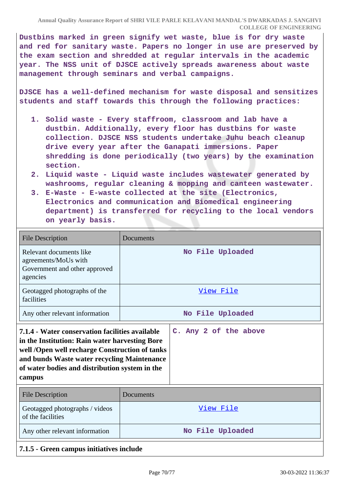**Dustbins marked in green signify wet waste, blue is for dry waste and red for sanitary waste. Papers no longer in use are preserved by the exam section and shredded at regular intervals in the academic year. The NSS unit of DJSCE actively spreads awareness about waste management through seminars and verbal campaigns.**

**DJSCE has a well-defined mechanism for waste disposal and sensitizes students and staff towards this through the following practices:**

- **1. Solid waste Every staffroom, classroom and lab have a dustbin. Additionally, every floor has dustbins for waste collection. DJSCE NSS students undertake Juhu beach cleanup drive every year after the Ganapati immersions. Paper shredding is done periodically (two years) by the examination section.**
- **2. Liquid waste Liquid waste includes wastewater generated by washrooms, regular cleaning & mopping and canteen wastewater.**
- **3. E-Waste E-waste collected at the site (Electronics, Electronics and communication and Biomedical engineering department) is transferred for recycling to the local vendors on yearly basis.**

| <b>File Description</b>                                                                                                                                                                                                                                        | Documents             |  |  |  |  |  |
|----------------------------------------------------------------------------------------------------------------------------------------------------------------------------------------------------------------------------------------------------------------|-----------------------|--|--|--|--|--|
| Relevant documents like<br>agreements/MoUs with<br>Government and other approved<br>agencies                                                                                                                                                                   | No File Uploaded      |  |  |  |  |  |
| Geotagged photographs of the<br>facilities                                                                                                                                                                                                                     | View File             |  |  |  |  |  |
| Any other relevant information                                                                                                                                                                                                                                 | No File Uploaded      |  |  |  |  |  |
| 7.1.4 - Water conservation facilities available<br>in the Institution: Rain water harvesting Bore<br>well /Open well recharge Construction of tanks<br>and bunds Waste water recycling Maintenance<br>of water bodies and distribution system in the<br>campus | C. Any 2 of the above |  |  |  |  |  |
| <b>File Description</b>                                                                                                                                                                                                                                        | Documents             |  |  |  |  |  |
| Geotagged photographs / videos<br>of the facilities                                                                                                                                                                                                            | <u>View File</u>      |  |  |  |  |  |
| Any other relevant information                                                                                                                                                                                                                                 | No File Uploaded      |  |  |  |  |  |
| 7.1.5 - Green campus initiatives include                                                                                                                                                                                                                       |                       |  |  |  |  |  |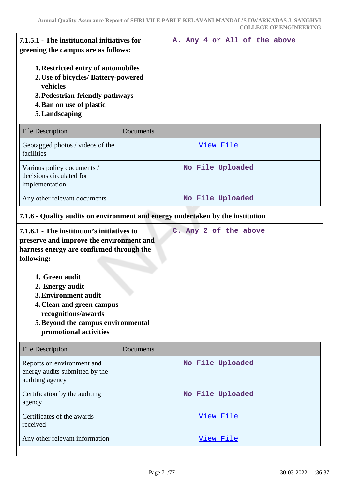| 7.1.5.1 - The institutional initiatives for<br>greening the campus are as follows:                                                                                            |  |  |  | A. Any 4 or All of the above |
|-------------------------------------------------------------------------------------------------------------------------------------------------------------------------------|--|--|--|------------------------------|
| <b>1. Restricted entry of automobiles</b><br>2. Use of bicycles/ Battery-powered<br>vehicles<br>3. Pedestrian-friendly pathways<br>4. Ban on use of plastic<br>5. Landscaping |  |  |  |                              |

| <b>File Description</b>                                                  | <b>Documents</b> |
|--------------------------------------------------------------------------|------------------|
| Geotagged photos / videos of the<br>facilities                           | View File        |
| Various policy documents /<br>decisions circulated for<br>implementation | No File Uploaded |
| Any other relevant documents                                             | No File Uploaded |

# **7.1.6 - Quality audits on environment and energy undertaken by the institution**

| 7.1.6.1 - The institution's initiatives to<br>preserve and improve the environment and |  |  | C. Any 2 of the above |
|----------------------------------------------------------------------------------------|--|--|-----------------------|
| harness energy are confirmed through the                                               |  |  |                       |
| following:                                                                             |  |  |                       |
| 1. Green audit                                                                         |  |  |                       |
| 2. Energy audit                                                                        |  |  |                       |
| <b>3. Environment audit</b>                                                            |  |  |                       |
| 4. Clean and green campus<br>recognitions/awards                                       |  |  |                       |
| 5. Beyond the campus environmental<br>promotional activities                           |  |  |                       |

| <b>File Description</b>                                                         | Documents        |
|---------------------------------------------------------------------------------|------------------|
| Reports on environment and<br>energy audits submitted by the<br>auditing agency | No File Uploaded |
| Certification by the auditing<br>agency                                         | No File Uploaded |
| Certificates of the awards<br>received                                          | View File        |
| Any other relevant information                                                  | View File        |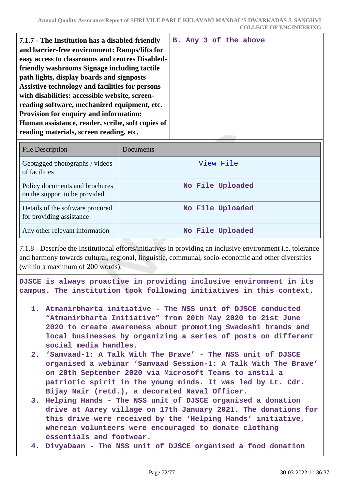| easy access to classrooms and centres Disabled-<br>friendly washrooms Signage including tactile<br>path lights, display boards and signposts<br>Assistive technology and facilities for persons<br>with disabilities: accessible website, screen-<br>reading software, mechanized equipment, etc.<br><b>Provision for enquiry and information:</b><br>Human assistance, reader, scribe, soft copies of<br>reading materials, screen reading, etc. |
|---------------------------------------------------------------------------------------------------------------------------------------------------------------------------------------------------------------------------------------------------------------------------------------------------------------------------------------------------------------------------------------------------------------------------------------------------|
|---------------------------------------------------------------------------------------------------------------------------------------------------------------------------------------------------------------------------------------------------------------------------------------------------------------------------------------------------------------------------------------------------------------------------------------------------|

| File Description                                                | Documents        |
|-----------------------------------------------------------------|------------------|
| Geotagged photographs / videos<br>of facilities                 | View File        |
| Policy documents and brochures<br>on the support to be provided | No File Uploaded |
| Details of the software procured<br>for providing assistance    | No File Uploaded |
| Any other relevant information                                  | No File Uploaded |

7.1.8 - Describe the Institutional efforts/initiatives in providing an inclusive environment i.e. tolerance and harmony towards cultural, regional, linguistic, communal, socio-economic and other diversities (within a maximum of 200 words).

**DJSCE is always proactive in providing inclusive environment in its campus. The institution took following initiatives in this context.**

- **1. Atmanirbharta initiative The NSS unit of DJSCE conducted "Atmanirbharta Initiative" from 20th May 2020 to 21st June 2020 to create awareness about promoting Swadeshi brands and local businesses by organizing a series of posts on different social media handles.**
- **2. 'Samvaad-1: A Talk With The Brave' The NSS unit of DJSCE organised a webinar 'Samvaad Session-1: A Talk With The Brave' on 20th September 2020 via Microsoft Teams to instil a patriotic spirit in the young minds. It was led by Lt. Cdr. Bijay Nair (retd.), a decorated Naval Officer.**
- **3. Helping Hands The NSS unit of DJSCE organised a donation drive at Aarey village on 17th January 2021. The donations for this drive were received by the 'Helping Hands' initiative, wherein volunteers were encouraged to donate clothing essentials and footwear.**
- **4. DivyaDaan The NSS unit of DJSCE organised a food donation**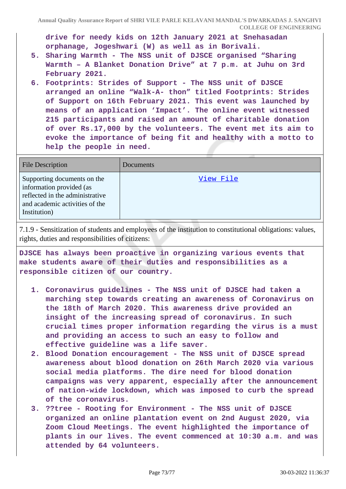**Annual Quality Assurance Report of SHRI VILE PARLE KELAVANI MANDAL'S DWARKADAS J. SANGHVI COLLEGE OF ENGINEERING**

**drive for needy kids on 12th January 2021 at Snehasadan orphanage, Jogeshwari (W) as well as in Borivali.**

- **5. Sharing Warmth The NSS unit of DJSCE organised "Sharing Warmth – A Blanket Donation Drive" at 7 p.m. at Juhu on 3rd February 2021.**
- **6. Footprints: Strides of Support The NSS unit of DJSCE arranged an online "Walk-A- thon" titled Footprints: Strides of Support on 16th February 2021. This event was launched by means of an application 'Impact'. The online event witnessed 215 participants and raised an amount of charitable donation of over Rs.17,000 by the volunteers. The event met its aim to evoke the importance of being fit and healthy with a motto to help the people in need.**

| <b>File Description</b>                                                                                                                      | Documents |
|----------------------------------------------------------------------------------------------------------------------------------------------|-----------|
| Supporting documents on the<br>information provided (as<br>reflected in the administrative<br>and academic activities of the<br>Institution) | View File |

7.1.9 - Sensitization of students and employees of the institution to constitutional obligations: values, rights, duties and responsibilities of citizens:

**DJSCE has always been proactive in organizing various events that make students aware of their duties and responsibilities as a responsible citizen of our country.**

- **1. Coronavirus guidelines The NSS unit of DJSCE had taken a marching step towards creating an awareness of Coronavirus on the 18th of March 2020. This awareness drive provided an insight of the increasing spread of coronavirus. In such crucial times proper information regarding the virus is a must and providing an access to such an easy to follow and effective guideline was a life saver.**
- **2. Blood Donation encouragement The NSS unit of DJSCE spread awareness about blood donation on 26th March 2020 via various social media platforms. The dire need for blood donation campaigns was very apparent, especially after the announcement of nation-wide lockdown, which was imposed to curb the spread of the coronavirus.**
- **3. ??tree Rooting for Environment The NSS unit of DJSCE organized an online plantation event on 2nd August 2020, via Zoom Cloud Meetings. The event highlighted the importance of plants in our lives. The event commenced at 10:30 a.m. and was attended by 64 volunteers.**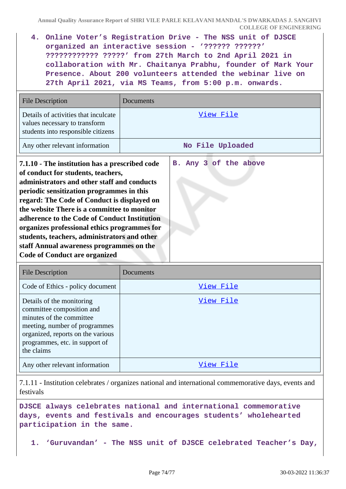**4. Online Voter's Registration Drive - The NSS unit of DJSCE organized an interactive session - '?????? ??????' ???????????? ?????' from 27th March to 2nd April 2021 in collaboration with Mr. Chaitanya Prabhu, founder of Mark Your Presence. About 200 volunteers attended the webinar live on 27th April 2021, via MS Teams, from 5:00 p.m. onwards.**

| <b>File Description</b>                                                                                                                                                                                                                                                                                                                                                                                                                                                                                            | Documents             |
|--------------------------------------------------------------------------------------------------------------------------------------------------------------------------------------------------------------------------------------------------------------------------------------------------------------------------------------------------------------------------------------------------------------------------------------------------------------------------------------------------------------------|-----------------------|
| Details of activities that inculcate<br>values necessary to transform<br>students into responsible citizens                                                                                                                                                                                                                                                                                                                                                                                                        | <u>View File</u>      |
| Any other relevant information                                                                                                                                                                                                                                                                                                                                                                                                                                                                                     | No File Uploaded      |
| 7.1.10 - The institution has a prescribed code<br>of conduct for students, teachers,<br>administrators and other staff and conducts<br>periodic sensitization programmes in this<br>regard: The Code of Conduct is displayed on<br>the website There is a committee to monitor<br>adherence to the Code of Conduct Institution<br>organizes professional ethics programmes for<br>students, teachers, administrators and other<br>staff Annual awareness programmes on the<br><b>Code of Conduct are organized</b> | B. Any 3 of the above |

| <b>File Description</b>                                                                                                                                                                                  | Documents |
|----------------------------------------------------------------------------------------------------------------------------------------------------------------------------------------------------------|-----------|
| Code of Ethics - policy document                                                                                                                                                                         | View File |
| Details of the monitoring<br>committee composition and<br>minutes of the committee<br>meeting, number of programmes<br>organized, reports on the various<br>programmes, etc. in support of<br>the claims | View File |
| Any other relevant information                                                                                                                                                                           | View File |

7.1.11 - Institution celebrates / organizes national and international commemorative days, events and festivals

**DJSCE always celebrates national and international commemorative days, events and festivals and encourages students' wholehearted participation in the same.**

**1. 'Guruvandan' - The NSS unit of DJSCE celebrated Teacher's Day,**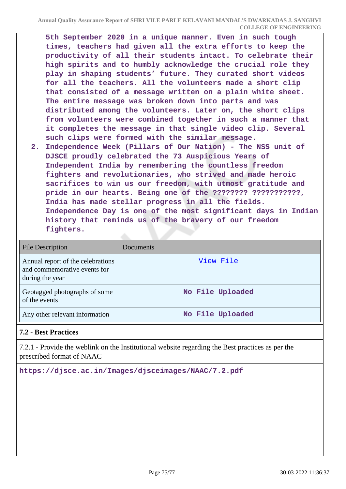**5th September 2020 in a unique manner. Even in such tough times, teachers had given all the extra efforts to keep the productivity of all their students intact. To celebrate their high spirits and to humbly acknowledge the crucial role they play in shaping students' future. They curated short videos for all the teachers. All the volunteers made a short clip that consisted of a message written on a plain white sheet. The entire message was broken down into parts and was distributed among the volunteers. Later on, the short clips from volunteers were combined together in such a manner that it completes the message in that single video clip. Several such clips were formed with the similar message.**

**2. Independence Week (Pillars of Our Nation) - The NSS unit of DJSCE proudly celebrated the 73 Auspicious Years of Independent India by remembering the countless freedom fighters and revolutionaries, who strived and made heroic sacrifices to win us our freedom, with utmost gratitude and pride in our hearts. Being one of the ???????? ???????????, India has made stellar progress in all the fields. Independence Day is one of the most significant days in Indian history that reminds us of the bravery of our freedom fighters.**

| <b>File Description</b>                                                              | Documents        |
|--------------------------------------------------------------------------------------|------------------|
| Annual report of the celebrations<br>and commemorative events for<br>during the year | View File        |
| Geotagged photographs of some<br>of the events                                       | No File Uploaded |
| Any other relevant information                                                       | No File Uploaded |

## **7.2 - Best Practices**

7.2.1 - Provide the weblink on the Institutional website regarding the Best practices as per the prescribed format of NAAC

**https://djsce.ac.in/Images/djsceimages/NAAC/7.2.pdf**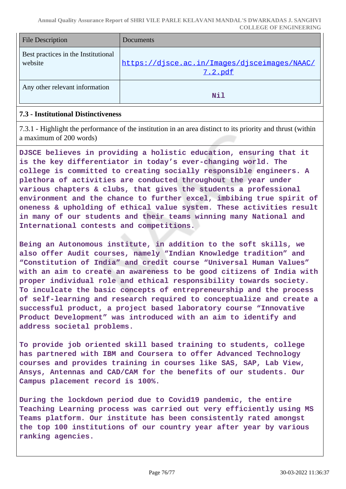| <b>File Description</b>                        | Documents                                               |
|------------------------------------------------|---------------------------------------------------------|
| Best practices in the Institutional<br>website | https://djsce.ac.in/Images/djsceimages/NAAC/<br>7.2.pdf |
| Any other relevant information                 | Nil                                                     |

## **7.3 - Institutional Distinctiveness**

7.3.1 - Highlight the performance of the institution in an area distinct to its priority and thrust (within a maximum of 200 words)

**DJSCE believes in providing a holistic education, ensuring that it is the key differentiator in today's ever-changing world. The college is committed to creating socially responsible engineers. A plethora of activities are conducted throughout the year under various chapters & clubs, that gives the students a professional environment and the chance to further excel, imbibing true spirit of oneness & upholding of ethical value system. These activities result in many of our students and their teams winning many National and International contests and competitions.**

**Being an Autonomous institute, in addition to the soft skills, we also offer Audit courses, namely "Indian Knowledge tradition" and "Constitution of India" and credit course "Universal Human Values" with an aim to create an awareness to be good citizens of India with proper individual role and ethical responsibility towards society. To inculcate the basic concepts of entrepreneurship and the process of self-learning and research required to conceptualize and create a successful product, a project based laboratory course "Innovative Product Development" was introduced with an aim to identify and address societal problems.**

**To provide job oriented skill based training to students, college has partnered with IBM and Coursera to offer Advanced Technology courses and provides training in courses like SAS, SAP, Lab View, Ansys, Antennas and CAD/CAM for the benefits of our students. Our Campus placement record is 100%.**

**During the lockdown period due to Covid19 pandemic, the entire Teaching Learning process was carried out very efficiently using MS Teams platform. Our institute has been consistently rated amongst the top 100 institutions of our country year after year by various ranking agencies.**